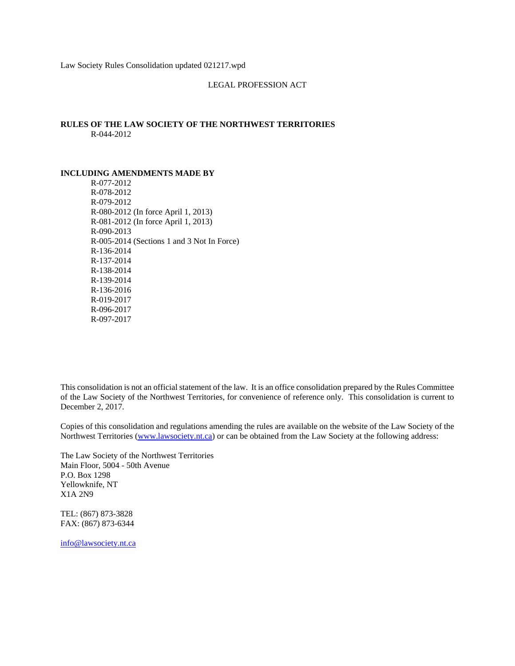Law Society Rules Consolidation updated 021217.wpd

#### LEGAL PROFESSION ACT

## **RULES OF THE LAW SOCIETY OF THE NORTHWEST TERRITORIES** R-044-2012

#### **INCLUDING AMENDMENTS MADE BY**

R-077-2012 R-078-2012 R-079-2012 R-080-2012 (In force April 1, 2013) R-081-2012 (In force April 1, 2013) R-090-2013 R-005-2014 (Sections 1 and 3 Not In Force) R-136-2014 R-137-2014 R-138-2014 R-139-2014 R-136-2016 R-019-2017 R-096-2017 R-097-2017

This consolidation is not an official statement of the law. It is an office consolidation prepared by the Rules Committee of the Law Society of the Northwest Territories, for convenience of reference only. This consolidation is current to December 2, 2017.

Copies of this consolidation and regulations amending the rules are available on the website of the Law Society of the Northwest Territories (www.lawsociety.nt.ca) or can be obtained from the Law Society at the following address:

The Law Society of the Northwest Territories Main Floor, 5004 - 50th Avenue P.O. Box 1298 Yellowknife, NT X1A 2N9

TEL: (867) 873-3828 FAX: (867) 873-6344

info@lawsociety.nt.ca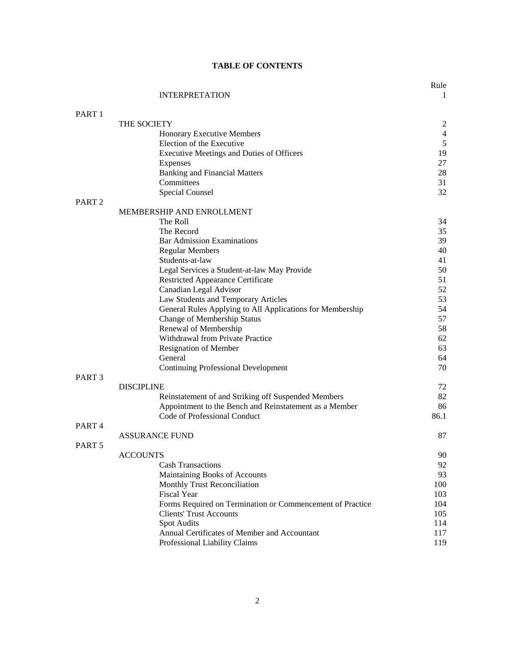|                   | <b>INTERPRETATION</b>                                     | $\mathbf{1}$   |
|-------------------|-----------------------------------------------------------|----------------|
| PART <sub>1</sub> |                                                           |                |
|                   | THE SOCIETY                                               | $\overline{c}$ |
|                   | Honorary Executive Members                                | $\overline{4}$ |
|                   | Election of the Executive                                 | $\sqrt{5}$     |
|                   | <b>Executive Meetings and Duties of Officers</b>          | 19             |
|                   | <b>Expenses</b>                                           | 27             |
|                   | <b>Banking and Financial Matters</b>                      | 28             |
|                   | Committees                                                | 31             |
|                   | <b>Special Counsel</b>                                    | 32             |
| PART <sub>2</sub> | MEMBERSHIP AND ENROLLMENT                                 |                |
|                   | The Roll                                                  | 34             |
|                   | The Record                                                | 35             |
|                   | <b>Bar Admission Examinations</b>                         | 39             |
|                   | <b>Regular Members</b>                                    | 40             |
|                   | Students-at-law                                           | 41             |
|                   | Legal Services a Student-at-law May Provide               | 50             |
|                   | <b>Restricted Appearance Certificate</b>                  | 51             |
|                   | Canadian Legal Advisor                                    | 52             |
|                   | Law Students and Temporary Articles                       | 53             |
|                   | General Rules Applying to All Applications for Membership | 54             |
|                   | Change of Membership Status                               | 57             |
|                   | Renewal of Membership                                     | 58             |
|                   | Withdrawal from Private Practice                          | 62             |
|                   | Resignation of Member                                     | 63             |
|                   | General                                                   | 64             |
|                   | <b>Continuing Professional Development</b>                | 70             |
| PART <sub>3</sub> | <b>DISCIPLINE</b>                                         | 72             |
|                   | Reinstatement of and Striking off Suspended Members       | 82             |
|                   | Appointment to the Bench and Reinstatement as a Member    | 86             |
|                   | Code of Professional Conduct                              | 86.1           |
| PART <sub>4</sub> |                                                           |                |
|                   | <b>ASSURANCE FUND</b>                                     | 87             |
| PART <sub>5</sub> |                                                           |                |
|                   | <b>ACCOUNTS</b><br><b>Cash Transactions</b>               | 90<br>92       |
|                   | Maintaining Books of Accounts                             | 93             |
|                   | Monthly Trust Reconciliation                              | 100            |
|                   | <b>Fiscal Year</b>                                        | 103            |
|                   | Forms Required on Termination or Commencement of Practice | 104            |
|                   | <b>Clients' Trust Accounts</b>                            | 105            |
|                   | Spot Audits                                               | 114            |
|                   | Annual Certificates of Member and Accountant              | 117            |
|                   | Professional Liability Claims                             | 119            |
|                   |                                                           |                |

# **TABLE OF CONTENTS**

Rule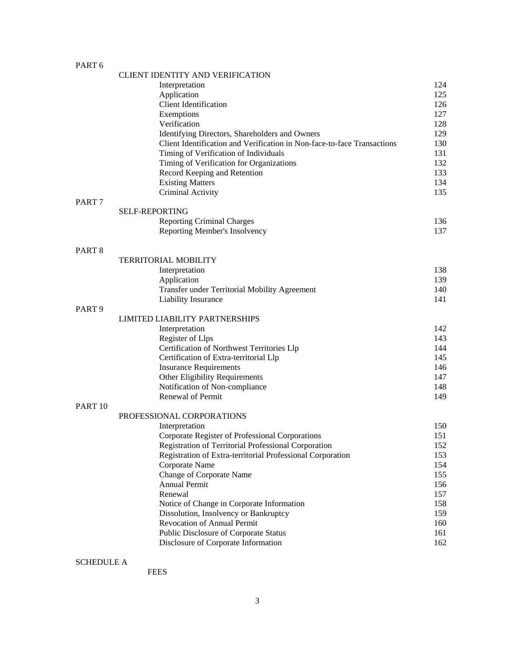# PART 6

|                    | <b>CLIENT IDENTITY AND VERIFICATION</b>                                 |     |
|--------------------|-------------------------------------------------------------------------|-----|
|                    | Interpretation                                                          | 124 |
|                    | Application                                                             | 125 |
|                    | <b>Client Identification</b>                                            | 126 |
|                    | Exemptions                                                              | 127 |
|                    | Verification                                                            | 128 |
|                    | Identifying Directors, Shareholders and Owners                          | 129 |
|                    | Client Identification and Verification in Non-face-to-face Transactions | 130 |
|                    | Timing of Verification of Individuals                                   | 131 |
|                    | Timing of Verification for Organizations                                | 132 |
|                    | Record Keeping and Retention                                            | 133 |
|                    | <b>Existing Matters</b>                                                 | 134 |
|                    | Criminal Activity                                                       | 135 |
| PART <sub>7</sub>  |                                                                         |     |
|                    | <b>SELF-REPORTING</b>                                                   |     |
|                    | <b>Reporting Criminal Charges</b>                                       | 136 |
|                    | Reporting Member's Insolvency                                           | 137 |
| PART <sub>8</sub>  |                                                                         |     |
|                    | <b>TERRITORIAL MOBILITY</b>                                             |     |
|                    | Interpretation                                                          | 138 |
|                    | Application                                                             | 139 |
|                    | Transfer under Territorial Mobility Agreement                           | 140 |
|                    | Liability Insurance                                                     | 141 |
| PART <sub>9</sub>  |                                                                         |     |
|                    | LIMITED LIABILITY PARTNERSHIPS                                          |     |
|                    | Interpretation                                                          | 142 |
|                    | Register of Llps                                                        | 143 |
|                    | Certification of Northwest Territories Llp                              | 144 |
|                    | Certification of Extra-territorial Llp                                  | 145 |
|                    | <b>Insurance Requirements</b>                                           | 146 |
|                    | Other Eligibility Requirements                                          | 147 |
|                    | Notification of Non-compliance                                          | 148 |
|                    | Renewal of Permit                                                       | 149 |
| PART <sub>10</sub> | PROFESSIONAL CORPORATIONS                                               |     |
|                    | Interpretation                                                          | 150 |
|                    | Corporate Register of Professional Corporations                         | 151 |
|                    | Registration of Territorial Professional Corporation                    | 152 |
|                    | Registration of Extra-territorial Professional Corporation              | 153 |
|                    | Corporate Name                                                          | 154 |
|                    | <b>Change of Corporate Name</b>                                         | 155 |
|                    | <b>Annual Permit</b>                                                    | 156 |
|                    | Renewal                                                                 | 157 |
|                    | Notice of Change in Corporate Information                               | 158 |
|                    | Dissolution, Insolvency or Bankruptcy                                   | 159 |
|                    | Revocation of Annual Permit                                             | 160 |
|                    | Public Disclosure of Corporate Status                                   | 161 |
|                    | Disclosure of Corporate Information                                     | 162 |
|                    |                                                                         |     |
| <b>SCHEDULE A</b>  |                                                                         |     |

FEES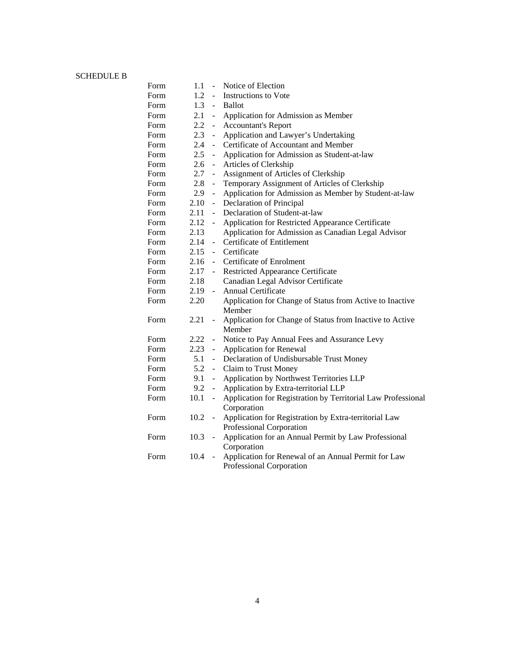## SCHEDULE B

| Form | 1.1     | $\overline{a}$              | Notice of Election                                           |
|------|---------|-----------------------------|--------------------------------------------------------------|
| Form | 1.2     | $\mathbb{Z}^{\mathbb{Z}^2}$ | Instructions to Vote                                         |
| Form | $1.3 -$ | $\equiv$                    | <b>Ballot</b>                                                |
| Form | 2.1     | $\overline{\phantom{a}}$    | Application for Admission as Member                          |
| Form | 2.2     | $\blacksquare$              | <b>Accountant's Report</b>                                   |
| Form | 2.3     | $\blacksquare$              | Application and Lawyer's Undertaking                         |
| Form | 2.4     | $\blacksquare$              | Certificate of Accountant and Member                         |
| Form | 2.5     | $\overline{a}$              | Application for Admission as Student-at-law                  |
| Form | 2.6     | $\blacksquare$              | Articles of Clerkship                                        |
| Form | 2.7     | $\blacksquare$              | Assignment of Articles of Clerkship                          |
| Form | 2.8     | $\blacksquare$              | Temporary Assignment of Articles of Clerkship                |
| Form | 2.9     | $\blacksquare$              | Application for Admission as Member by Student-at-law        |
| Form | 2.10    | $\blacksquare$              | Declaration of Principal                                     |
| Form | 2.11    | $\overline{a}$              | Declaration of Student-at-law                                |
| Form | 2.12    | $\frac{1}{2}$               | Application for Restricted Appearance Certificate            |
| Form | 2.13    |                             | Application for Admission as Canadian Legal Advisor          |
| Form | 2.14    | $\sim$                      | Certificate of Entitlement                                   |
| Form | 2.15    |                             | - Certificate                                                |
| Form | 2.16    |                             | - Certificate of Enrolment                                   |
| Form | 2.17    | $\sim$                      | <b>Restricted Appearance Certificate</b>                     |
| Form | 2.18    |                             | Canadian Legal Advisor Certificate                           |
| Form | 2.19    | $\omega_{\rm{eff}}$         | Annual Certificate                                           |
| Form | 2.20    |                             | Application for Change of Status from Active to Inactive     |
|      |         |                             | Member                                                       |
| Form | 2.21    | $\blacksquare$              | Application for Change of Status from Inactive to Active     |
|      |         |                             | Member                                                       |
| Form | 2.22    | $\blacksquare$              | Notice to Pay Annual Fees and Assurance Levy                 |
| Form | 2.23    | $\frac{1}{2}$               | <b>Application for Renewal</b>                               |
| Form | 5.1     | $\overline{a}$              | Declaration of Undisbursable Trust Money                     |
| Form | 5.2     | $\overline{\phantom{a}}$    | Claim to Trust Money                                         |
| Form | 9.1     | $\blacksquare$              | Application by Northwest Territories LLP                     |
| Form | 9.2     | $\overline{\phantom{a}}$    | Application by Extra-territorial LLP                         |
| Form | 10.1    | $\overline{\phantom{a}}$    | Application for Registration by Territorial Law Professional |
|      |         |                             | Corporation                                                  |
| Form | 10.2    | $\overline{\phantom{a}}$    | Application for Registration by Extra-territorial Law        |
|      |         |                             | Professional Corporation                                     |
| Form | 10.3    | $\blacksquare$              | Application for an Annual Permit by Law Professional         |
|      |         |                             | Corporation                                                  |
| Form | 10.4    | $\blacksquare$              | Application for Renewal of an Annual Permit for Law          |
|      |         |                             | Professional Corporation                                     |
|      |         |                             |                                                              |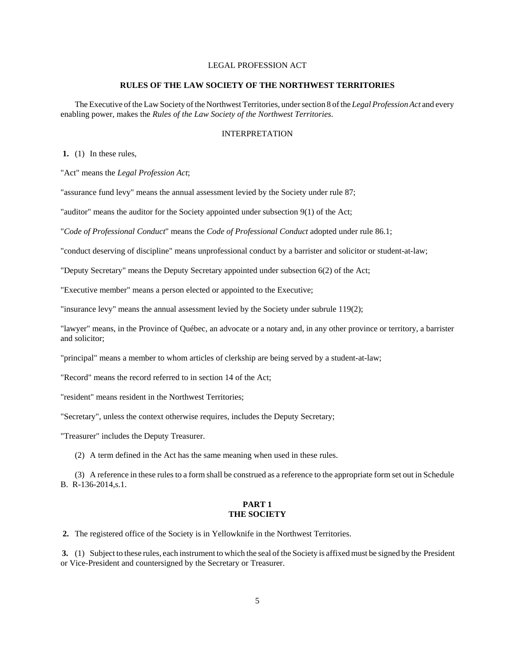## LEGAL PROFESSION ACT

### **RULES OF THE LAW SOCIETY OF THE NORTHWEST TERRITORIES**

The Executive of the Law Society of the Northwest Territories, under section 8 of the *Legal Profession Act* and every enabling power, makes the *Rules of the Law Society of the Northwest Territories*.

## INTERPRETATION

 **1.** (1) In these rules,

"Act" means the *Legal Profession Act*;

"assurance fund levy" means the annual assessment levied by the Society under rule 87;

"auditor" means the auditor for the Society appointed under subsection 9(1) of the Act;

"*Code of Professional Conduct*" means the *Code of Professional Conduct* adopted under rule 86.1;

"conduct deserving of discipline" means unprofessional conduct by a barrister and solicitor or student-at-law;

"Deputy Secretary" means the Deputy Secretary appointed under subsection 6(2) of the Act;

"Executive member" means a person elected or appointed to the Executive;

"insurance levy" means the annual assessment levied by the Society under subrule 119(2);

"lawyer" means, in the Province of Québec, an advocate or a notary and, in any other province or territory, a barrister and solicitor;

"principal" means a member to whom articles of clerkship are being served by a student-at-law;

"Record" means the record referred to in section 14 of the Act;

"resident" means resident in the Northwest Territories;

"Secretary", unless the context otherwise requires, includes the Deputy Secretary;

"Treasurer" includes the Deputy Treasurer.

(2) A term defined in the Act has the same meaning when used in these rules.

(3) A reference in these rules to a form shall be construed as a reference to the appropriate form set out in Schedule B. R-136-2014,s.1.

## **PART 1 THE SOCIETY**

 **2.** The registered office of the Society is in Yellowknife in the Northwest Territories.

 **3.** (1) Subject to these rules, each instrument to which the seal of the Society is affixed must be signed by the President or Vice-President and countersigned by the Secretary or Treasurer.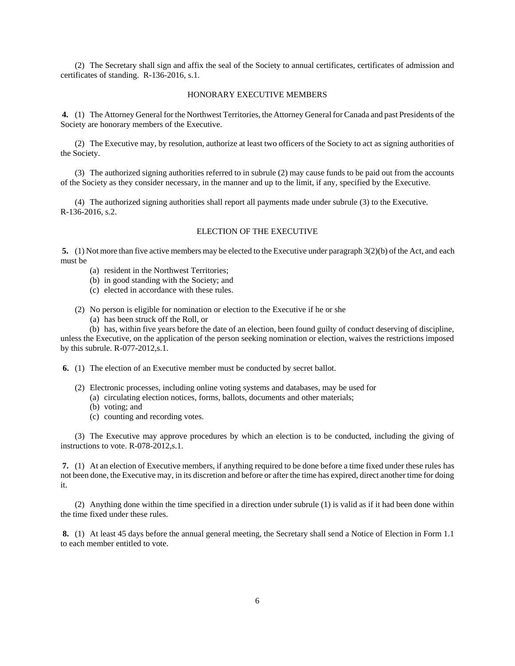(2) The Secretary shall sign and affix the seal of the Society to annual certificates, certificates of admission and certificates of standing. R-136-2016, s.1.

#### HONORARY EXECUTIVE MEMBERS

 **4.** (1) The Attorney General for the Northwest Territories, the Attorney General for Canada and past Presidents of the Society are honorary members of the Executive.

(2) The Executive may, by resolution, authorize at least two officers of the Society to act as signing authorities of the Society.

(3) The authorized signing authorities referred to in subrule (2) may cause funds to be paid out from the accounts of the Society as they consider necessary, in the manner and up to the limit, if any, specified by the Executive.

(4) The authorized signing authorities shall report all payments made under subrule (3) to the Executive. R-136-2016, s.2.

## ELECTION OF THE EXECUTIVE

**5.** (1) Not more than five active members may be elected to the Executive under paragraph 3(2)(b) of the Act, and each must be

- (a) resident in the Northwest Territories;
- (b) in good standing with the Society; and
- (c) elected in accordance with these rules.
- (2) No person is eligible for nomination or election to the Executive if he or she
	- (a) has been struck off the Roll, or

(b) has, within five years before the date of an election, been found guilty of conduct deserving of discipline, unless the Executive, on the application of the person seeking nomination or election, waives the restrictions imposed

by this subrule. R-077-2012,s.1.

 **6.** (1) The election of an Executive member must be conducted by secret ballot.

- (2) Electronic processes, including online voting systems and databases, may be used for
	- (a) circulating election notices, forms, ballots, documents and other materials;
	- (b) voting; and
	- (c) counting and recording votes.

(3) The Executive may approve procedures by which an election is to be conducted, including the giving of instructions to vote. R-078-2012,s.1.

 **7.** (1) At an election of Executive members, if anything required to be done before a time fixed under these rules has not been done, the Executive may, in its discretion and before or after the time has expired, direct another time for doing it.

(2) Anything done within the time specified in a direction under subrule (1) is valid as if it had been done within the time fixed under these rules.

 **8.** (1) At least 45 days before the annual general meeting, the Secretary shall send a Notice of Election in Form 1.1 to each member entitled to vote.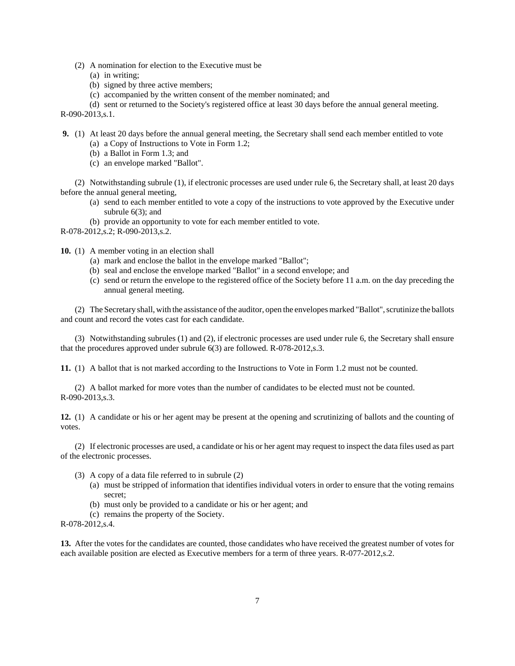- (2) A nomination for election to the Executive must be
	- (a) in writing;
	- (b) signed by three active members;
	- (c) accompanied by the written consent of the member nominated; and

(d) sent or returned to the Society's registered office at least 30 days before the annual general meeting. R-090-2013,s.1.

**9.** (1) At least 20 days before the annual general meeting, the Secretary shall send each member entitled to vote

- (a) a Copy of Instructions to Vote in Form 1.2;
- (b) a Ballot in Form 1.3; and
- (c) an envelope marked "Ballot".

(2) Notwithstanding subrule (1), if electronic processes are used under rule 6, the Secretary shall, at least 20 days before the annual general meeting,

- (a) send to each member entitled to vote a copy of the instructions to vote approved by the Executive under subrule 6(3); and
- (b) provide an opportunity to vote for each member entitled to vote.

R-078-2012,s.2; R-090-2013,s.2.

**10.** (1) A member voting in an election shall

- (a) mark and enclose the ballot in the envelope marked "Ballot";
- (b) seal and enclose the envelope marked "Ballot" in a second envelope; and
- (c) send or return the envelope to the registered office of the Society before 11 a.m. on the day preceding the annual general meeting.

(2) The Secretary shall, with the assistance of the auditor, open the envelopes marked "Ballot", scrutinize the ballots and count and record the votes cast for each candidate.

(3) Notwithstanding subrules (1) and (2), if electronic processes are used under rule 6, the Secretary shall ensure that the procedures approved under subrule 6(3) are followed. R-078-2012,s.3.

**11.** (1) A ballot that is not marked according to the Instructions to Vote in Form 1.2 must not be counted.

(2) A ballot marked for more votes than the number of candidates to be elected must not be counted. R-090-2013,s.3.

**12.** (1) A candidate or his or her agent may be present at the opening and scrutinizing of ballots and the counting of votes.

(2) If electronic processes are used, a candidate or his or her agent may request to inspect the data files used as part of the electronic processes.

- (3) A copy of a data file referred to in subrule (2)
	- (a) must be stripped of information that identifies individual voters in order to ensure that the voting remains secret;
	- (b) must only be provided to a candidate or his or her agent; and
	- (c) remains the property of the Society.

R-078-2012,s.4.

**13.** After the votes for the candidates are counted, those candidates who have received the greatest number of votes for each available position are elected as Executive members for a term of three years. R-077-2012,s.2.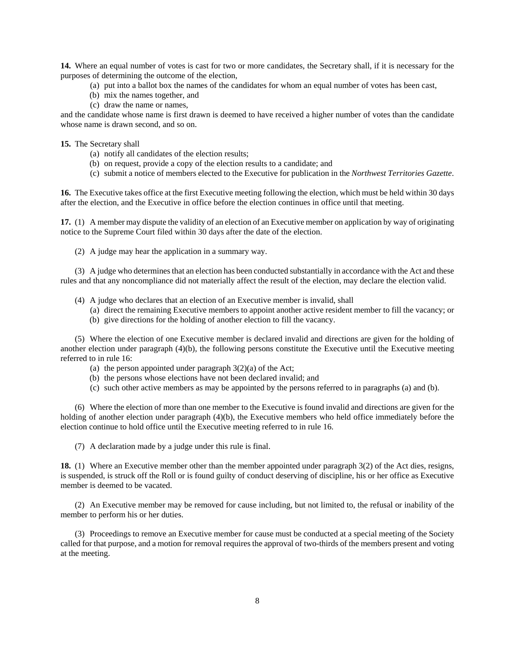**14.** Where an equal number of votes is cast for two or more candidates, the Secretary shall, if it is necessary for the purposes of determining the outcome of the election,

- (a) put into a ballot box the names of the candidates for whom an equal number of votes has been cast,
- (b) mix the names together, and
- (c) draw the name or names,

and the candidate whose name is first drawn is deemed to have received a higher number of votes than the candidate whose name is drawn second, and so on.

**15.** The Secretary shall

- (a) notify all candidates of the election results;
- (b) on request, provide a copy of the election results to a candidate; and
- (c) submit a notice of members elected to the Executive for publication in the *Northwest Territories Gazette*.

**16.** The Executive takes office at the first Executive meeting following the election, which must be held within 30 days after the election, and the Executive in office before the election continues in office until that meeting.

**17.** (1) A member may dispute the validity of an election of an Executive member on application by way of originating notice to the Supreme Court filed within 30 days after the date of the election.

(2) A judge may hear the application in a summary way.

(3) A judge who determines that an election has been conducted substantially in accordance with the Act and these rules and that any noncompliance did not materially affect the result of the election, may declare the election valid.

- (4) A judge who declares that an election of an Executive member is invalid, shall
	- (a) direct the remaining Executive members to appoint another active resident member to fill the vacancy; or
	- (b) give directions for the holding of another election to fill the vacancy.

(5) Where the election of one Executive member is declared invalid and directions are given for the holding of another election under paragraph (4)(b), the following persons constitute the Executive until the Executive meeting referred to in rule 16:

- (a) the person appointed under paragraph  $3(2)(a)$  of the Act;
- (b) the persons whose elections have not been declared invalid; and
- (c) such other active members as may be appointed by the persons referred to in paragraphs (a) and (b).

(6) Where the election of more than one member to the Executive is found invalid and directions are given for the holding of another election under paragraph (4)(b), the Executive members who held office immediately before the election continue to hold office until the Executive meeting referred to in rule 16.

(7) A declaration made by a judge under this rule is final.

**18.** (1) Where an Executive member other than the member appointed under paragraph 3(2) of the Act dies, resigns, is suspended, is struck off the Roll or is found guilty of conduct deserving of discipline, his or her office as Executive member is deemed to be vacated.

(2) An Executive member may be removed for cause including, but not limited to, the refusal or inability of the member to perform his or her duties.

(3) Proceedings to remove an Executive member for cause must be conducted at a special meeting of the Society called for that purpose, and a motion for removal requires the approval of two-thirds of the members present and voting at the meeting.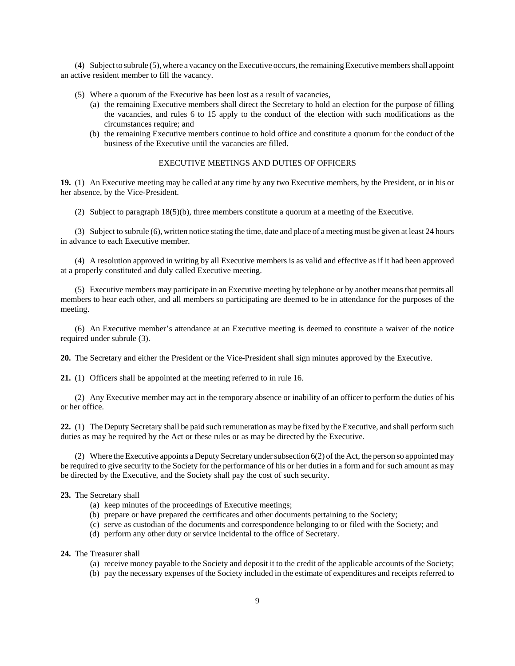(4) Subject to subrule (5), where a vacancy on the Executive occurs, the remaining Executive members shall appoint an active resident member to fill the vacancy.

- (5) Where a quorum of the Executive has been lost as a result of vacancies,
	- (a) the remaining Executive members shall direct the Secretary to hold an election for the purpose of filling the vacancies, and rules 6 to 15 apply to the conduct of the election with such modifications as the circumstances require; and
	- (b) the remaining Executive members continue to hold office and constitute a quorum for the conduct of the business of the Executive until the vacancies are filled.

### EXECUTIVE MEETINGS AND DUTIES OF OFFICERS

**19.** (1) An Executive meeting may be called at any time by any two Executive members, by the President, or in his or her absence, by the Vice-President.

(2) Subject to paragraph 18(5)(b), three members constitute a quorum at a meeting of the Executive.

(3) Subject to subrule (6), written notice stating the time, date and place of a meeting must be given at least 24 hours in advance to each Executive member.

(4) A resolution approved in writing by all Executive members is as valid and effective as if it had been approved at a properly constituted and duly called Executive meeting.

(5) Executive members may participate in an Executive meeting by telephone or by another means that permits all members to hear each other, and all members so participating are deemed to be in attendance for the purposes of the meeting.

(6) An Executive member's attendance at an Executive meeting is deemed to constitute a waiver of the notice required under subrule (3).

**20.** The Secretary and either the President or the Vice-President shall sign minutes approved by the Executive.

**21.** (1) Officers shall be appointed at the meeting referred to in rule 16.

(2) Any Executive member may act in the temporary absence or inability of an officer to perform the duties of his or her office.

**22.** (1) The Deputy Secretary shall be paid such remuneration as may be fixed by the Executive, and shall perform such duties as may be required by the Act or these rules or as may be directed by the Executive.

(2) Where the Executive appoints a Deputy Secretary under subsection 6(2) of the Act, the person so appointed may be required to give security to the Society for the performance of his or her duties in a form and for such amount as may be directed by the Executive, and the Society shall pay the cost of such security.

#### **23.** The Secretary shall

- (a) keep minutes of the proceedings of Executive meetings;
- (b) prepare or have prepared the certificates and other documents pertaining to the Society;
- (c) serve as custodian of the documents and correspondence belonging to or filed with the Society; and
- (d) perform any other duty or service incidental to the office of Secretary.

**24.** The Treasurer shall

- (a) receive money payable to the Society and deposit it to the credit of the applicable accounts of the Society;
- (b) pay the necessary expenses of the Society included in the estimate of expenditures and receipts referred to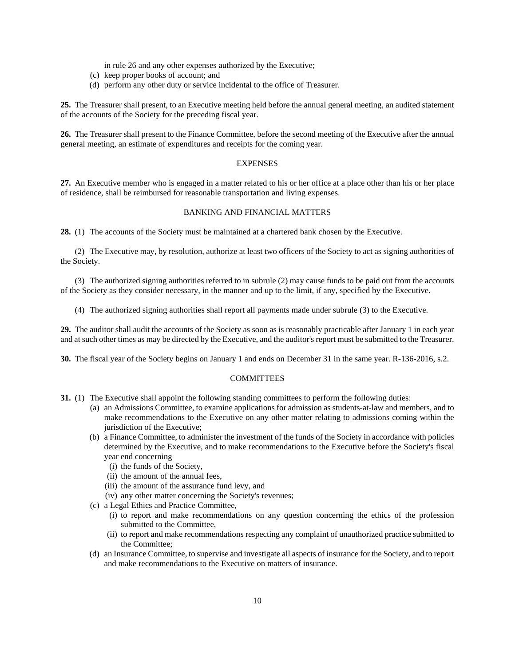in rule 26 and any other expenses authorized by the Executive;

- (c) keep proper books of account; and
- (d) perform any other duty or service incidental to the office of Treasurer.

**25.** The Treasurer shall present, to an Executive meeting held before the annual general meeting, an audited statement of the accounts of the Society for the preceding fiscal year.

**26.** The Treasurer shall present to the Finance Committee, before the second meeting of the Executive after the annual general meeting, an estimate of expenditures and receipts for the coming year.

## **EXPENSES**

**27.** An Executive member who is engaged in a matter related to his or her office at a place other than his or her place of residence, shall be reimbursed for reasonable transportation and living expenses.

### BANKING AND FINANCIAL MATTERS

**28.** (1) The accounts of the Society must be maintained at a chartered bank chosen by the Executive.

(2) The Executive may, by resolution, authorize at least two officers of the Society to act as signing authorities of the Society.

(3) The authorized signing authorities referred to in subrule (2) may cause funds to be paid out from the accounts of the Society as they consider necessary, in the manner and up to the limit, if any, specified by the Executive.

(4) The authorized signing authorities shall report all payments made under subrule (3) to the Executive.

**29.** The auditor shall audit the accounts of the Society as soon as is reasonably practicable after January 1 in each year and at such other times as may be directed by the Executive, and the auditor's report must be submitted to the Treasurer.

**30.** The fiscal year of the Society begins on January 1 and ends on December 31 in the same year. R-136-2016, s.2.

#### **COMMITTEES**

- **31.** (1) The Executive shall appoint the following standing committees to perform the following duties:
	- (a) an Admissions Committee, to examine applications for admission as students-at-law and members, and to make recommendations to the Executive on any other matter relating to admissions coming within the jurisdiction of the Executive;
	- (b) a Finance Committee, to administer the investment of the funds of the Society in accordance with policies determined by the Executive, and to make recommendations to the Executive before the Society's fiscal year end concerning
		- (i) the funds of the Society,
		- (ii) the amount of the annual fees,
		- (iii) the amount of the assurance fund levy, and
		- (iv) any other matter concerning the Society's revenues;
	- (c) a Legal Ethics and Practice Committee,
		- (i) to report and make recommendations on any question concerning the ethics of the profession submitted to the Committee,
		- (ii) to report and make recommendations respecting any complaint of unauthorized practice submitted to the Committee;
	- (d) an Insurance Committee, to supervise and investigate all aspects of insurance for the Society, and to report and make recommendations to the Executive on matters of insurance.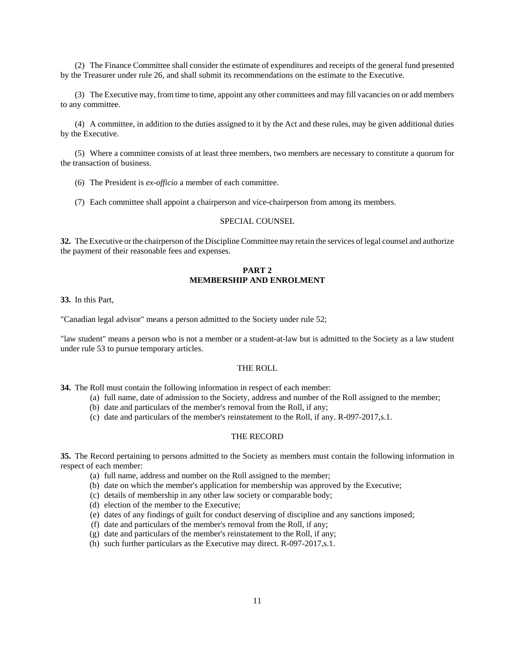(2) The Finance Committee shall consider the estimate of expenditures and receipts of the general fund presented by the Treasurer under rule 26, and shall submit its recommendations on the estimate to the Executive.

(3) The Executive may, from time to time, appoint any other committees and may fill vacancies on or add members to any committee.

(4) A committee, in addition to the duties assigned to it by the Act and these rules, may be given additional duties by the Executive.

(5) Where a committee consists of at least three members, two members are necessary to constitute a quorum for the transaction of business.

- (6) The President is *ex-officio* a member of each committee.
- (7) Each committee shall appoint a chairperson and vice-chairperson from among its members.

### SPECIAL COUNSEL

**32.** The Executive or the chairperson of the Discipline Committee may retain the services of legal counsel and authorize the payment of their reasonable fees and expenses.

## **PART 2 MEMBERSHIP AND ENROLMENT**

**33.** In this Part,

"Canadian legal advisor" means a person admitted to the Society under rule 52;

"law student" means a person who is not a member or a student-at-law but is admitted to the Society as a law student under rule 53 to pursue temporary articles.

#### THE ROLL

**34.** The Roll must contain the following information in respect of each member:

- (a) full name, date of admission to the Society, address and number of the Roll assigned to the member;
- (b) date and particulars of the member's removal from the Roll, if any;
- (c) date and particulars of the member's reinstatement to the Roll, if any. R-097-2017,s.1.

#### THE RECORD

**35.** The Record pertaining to persons admitted to the Society as members must contain the following information in respect of each member:

- (a) full name, address and number on the Roll assigned to the member;
- (b) date on which the member's application for membership was approved by the Executive;
- (c) details of membership in any other law society or comparable body;
- (d) election of the member to the Executive;
- (e) dates of any findings of guilt for conduct deserving of discipline and any sanctions imposed;
- (f) date and particulars of the member's removal from the Roll, if any;
- (g) date and particulars of the member's reinstatement to the Roll, if any;
- (h) such further particulars as the Executive may direct. R-097-2017,s.1.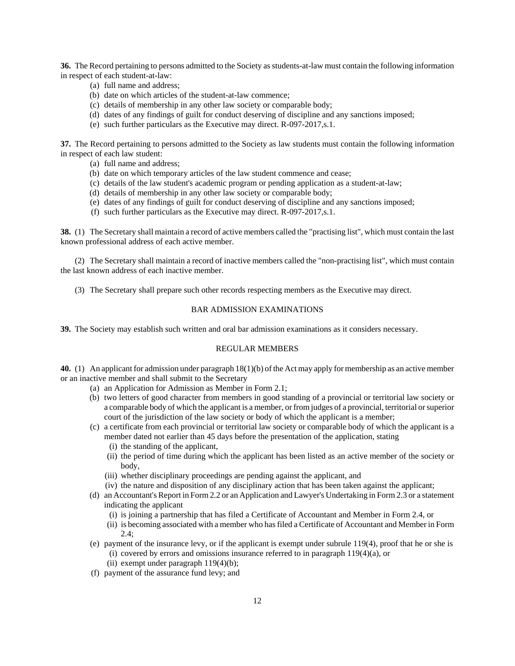**36.** The Record pertaining to persons admitted to the Society as students-at-law must contain the following information in respect of each student-at-law:

- (a) full name and address;
- (b) date on which articles of the student-at-law commence;
- (c) details of membership in any other law society or comparable body;
- (d) dates of any findings of guilt for conduct deserving of discipline and any sanctions imposed;
- (e) such further particulars as the Executive may direct. R-097-2017,s.1.

**37.** The Record pertaining to persons admitted to the Society as law students must contain the following information in respect of each law student:

- (a) full name and address;
- (b) date on which temporary articles of the law student commence and cease;
- (c) details of the law student's academic program or pending application as a student-at-law;
- (d) details of membership in any other law society or comparable body;
- (e) dates of any findings of guilt for conduct deserving of discipline and any sanctions imposed;
- (f) such further particulars as the Executive may direct. R-097-2017,s.1.

**38.** (1) The Secretary shall maintain a record of active members called the "practising list", which must contain the last known professional address of each active member.

(2) The Secretary shall maintain a record of inactive members called the "non-practising list", which must contain the last known address of each inactive member.

(3) The Secretary shall prepare such other records respecting members as the Executive may direct.

## BAR ADMISSION EXAMINATIONS

**39.** The Society may establish such written and oral bar admission examinations as it considers necessary.

#### REGULAR MEMBERS

**40.** (1) An applicant for admission under paragraph 18(1)(b) of the Act may apply for membership as an active member or an inactive member and shall submit to the Secretary

- (a) an Application for Admission as Member in Form 2.1;
- (b) two letters of good character from members in good standing of a provincial or territorial law society or a comparable body of which the applicant is a member, or from judges of a provincial, territorial or superior court of the jurisdiction of the law society or body of which the applicant is a member;
- (c) a certificate from each provincial or territorial law society or comparable body of which the applicant is a member dated not earlier than 45 days before the presentation of the application, stating
	- (i) the standing of the applicant,
	- (ii) the period of time during which the applicant has been listed as an active member of the society or body,
	- (iii) whether disciplinary proceedings are pending against the applicant, and
	- (iv) the nature and disposition of any disciplinary action that has been taken against the applicant;
- (d) an Accountant's Report in Form 2.2 or an Application and Lawyer's Undertaking in Form 2.3 or a statement indicating the applicant
	- (i) is joining a partnership that has filed a Certificate of Accountant and Member in Form 2.4, or
	- (ii) is becoming associated with a member who has filed a Certificate of Accountant and Member in Form 2.4;
- (e) payment of the insurance levy, or if the applicant is exempt under subrule 119(4), proof that he or she is (i) covered by errors and omissions insurance referred to in paragraph  $119(4)(a)$ , or
	- (ii) exempt under paragraph 119(4)(b);
- (f) payment of the assurance fund levy; and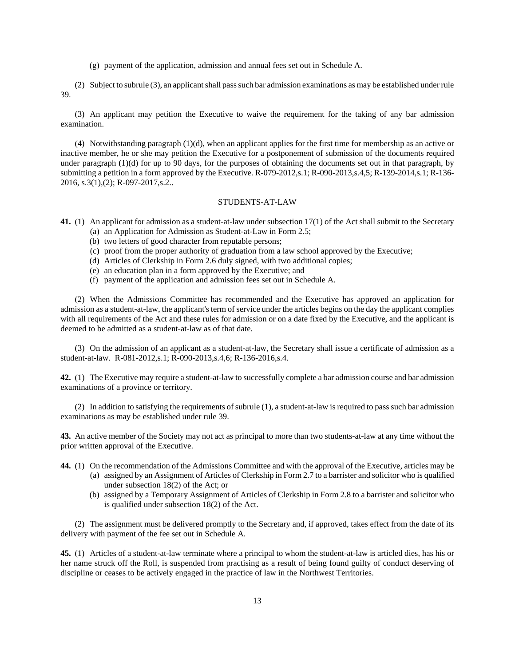(g) payment of the application, admission and annual fees set out in Schedule A.

(2) Subject to subrule (3), an applicant shall pass such bar admission examinations as may be established under rule 39.

(3) An applicant may petition the Executive to waive the requirement for the taking of any bar admission examination.

(4) Notwithstanding paragraph (1)(d), when an applicant applies for the first time for membership as an active or inactive member, he or she may petition the Executive for a postponement of submission of the documents required under paragraph (1)(d) for up to 90 days, for the purposes of obtaining the documents set out in that paragraph, by submitting a petition in a form approved by the Executive. R-079-2012,s.1; R-090-2013,s.4,5; R-139-2014,s.1; R-136- 2016, s.3(1),(2); R-097-2017,s.2..

#### STUDENTS-AT-LAW

- **41.** (1) An applicant for admission as a student-at-law under subsection 17(1) of the Act shall submit to the Secretary (a) an Application for Admission as Student-at-Law in Form 2.5;
	- (b) two letters of good character from reputable persons;
	- (c) proof from the proper authority of graduation from a law school approved by the Executive;
	- (d) Articles of Clerkship in Form 2.6 duly signed, with two additional copies;
	- (e) an education plan in a form approved by the Executive; and
	- (f) payment of the application and admission fees set out in Schedule A.

(2) When the Admissions Committee has recommended and the Executive has approved an application for admission as a student-at-law, the applicant's term of service under the articles begins on the day the applicant complies with all requirements of the Act and these rules for admission or on a date fixed by the Executive, and the applicant is deemed to be admitted as a student-at-law as of that date.

(3) On the admission of an applicant as a student-at-law, the Secretary shall issue a certificate of admission as a student-at-law. R-081-2012,s.1; R-090-2013,s.4,6; R-136-2016,s.4.

**42.** (1) The Executive may require a student-at-law to successfully complete a bar admission course and bar admission examinations of a province or territory.

(2) In addition to satisfying the requirements of subrule (1), a student-at-law is required to pass such bar admission examinations as may be established under rule 39.

**43.** An active member of the Society may not act as principal to more than two students-at-law at any time without the prior written approval of the Executive.

- **44.** (1) On the recommendation of the Admissions Committee and with the approval of the Executive, articles may be
	- (a) assigned by an Assignment of Articles of Clerkship in Form 2.7 to a barrister and solicitor who is qualified under subsection 18(2) of the Act; or
	- (b) assigned by a Temporary Assignment of Articles of Clerkship in Form 2.8 to a barrister and solicitor who is qualified under subsection 18(2) of the Act.

(2) The assignment must be delivered promptly to the Secretary and, if approved, takes effect from the date of its delivery with payment of the fee set out in Schedule A.

**45.** (1) Articles of a student-at-law terminate where a principal to whom the student-at-law is articled dies, has his or her name struck off the Roll, is suspended from practising as a result of being found guilty of conduct deserving of discipline or ceases to be actively engaged in the practice of law in the Northwest Territories.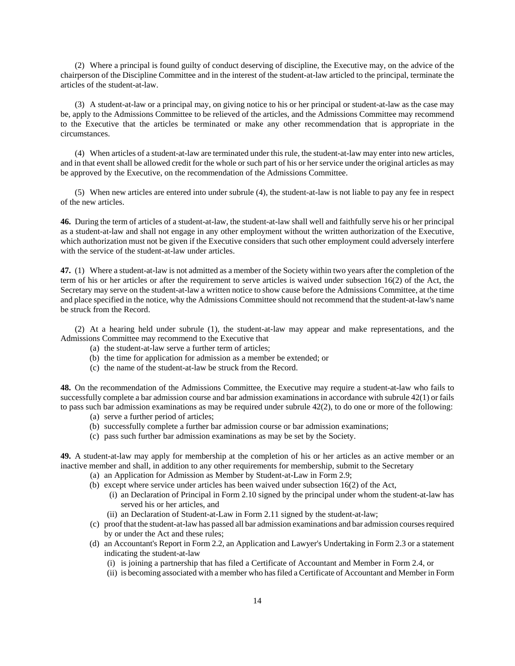(2) Where a principal is found guilty of conduct deserving of discipline, the Executive may, on the advice of the chairperson of the Discipline Committee and in the interest of the student-at-law articled to the principal, terminate the articles of the student-at-law.

(3) A student-at-law or a principal may, on giving notice to his or her principal or student-at-law as the case may be, apply to the Admissions Committee to be relieved of the articles, and the Admissions Committee may recommend to the Executive that the articles be terminated or make any other recommendation that is appropriate in the circumstances.

(4) When articles of a student-at-law are terminated under this rule, the student-at-law may enter into new articles, and in that event shall be allowed credit for the whole or such part of his or her service under the original articles as may be approved by the Executive, on the recommendation of the Admissions Committee.

(5) When new articles are entered into under subrule (4), the student-at-law is not liable to pay any fee in respect of the new articles.

**46.** During the term of articles of a student-at-law, the student-at-law shall well and faithfully serve his or her principal as a student-at-law and shall not engage in any other employment without the written authorization of the Executive, which authorization must not be given if the Executive considers that such other employment could adversely interfere with the service of the student-at-law under articles.

**47.** (1) Where a student-at-law is not admitted as a member of the Society within two years after the completion of the term of his or her articles or after the requirement to serve articles is waived under subsection 16(2) of the Act, the Secretary may serve on the student-at-law a written notice to show cause before the Admissions Committee, at the time and place specified in the notice, why the Admissions Committee should not recommend that the student-at-law's name be struck from the Record.

(2) At a hearing held under subrule (1), the student-at-law may appear and make representations, and the Admissions Committee may recommend to the Executive that

- (a) the student-at-law serve a further term of articles;
- (b) the time for application for admission as a member be extended; or
- (c) the name of the student-at-law be struck from the Record.

**48.** On the recommendation of the Admissions Committee, the Executive may require a student-at-law who fails to successfully complete a bar admission course and bar admission examinations in accordance with subrule 42(1) or fails to pass such bar admission examinations as may be required under subrule 42(2), to do one or more of the following:

- (a) serve a further period of articles;
- (b) successfully complete a further bar admission course or bar admission examinations;
- (c) pass such further bar admission examinations as may be set by the Society.

**49.** A student-at-law may apply for membership at the completion of his or her articles as an active member or an inactive member and shall, in addition to any other requirements for membership, submit to the Secretary

- (a) an Application for Admission as Member by Student-at-Law in Form 2.9;
- (b) except where service under articles has been waived under subsection 16(2) of the Act, (i) an Declaration of Principal in Form 2.10 signed by the principal under whom the student-at-law has served his or her articles, and
	- (ii) an Declaration of Student-at-Law in Form 2.11 signed by the student-at-law;
- (c) proof that the student-at-law has passed all bar admission examinations and bar admission courses required by or under the Act and these rules;
- (d) an Accountant's Report in Form 2.2, an Application and Lawyer's Undertaking in Form 2.3 or a statement indicating the student-at-law
	- (i) is joining a partnership that has filed a Certificate of Accountant and Member in Form 2.4, or
	- (ii) is becoming associated with a member who has filed a Certificate of Accountant and Member in Form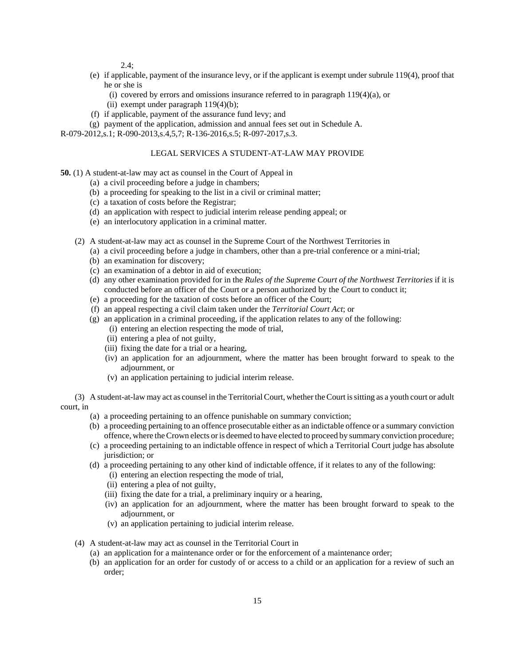$2.4$ :

- (e) if applicable, payment of the insurance levy, or if the applicant is exempt under subrule 119(4), proof that he or she is
	- (i) covered by errors and omissions insurance referred to in paragraph  $119(4)(a)$ , or
	- (ii) exempt under paragraph  $119(4)(b)$ ;
- (f) if applicable, payment of the assurance fund levy; and
- (g) payment of the application, admission and annual fees set out in Schedule A.

R-079-2012,s.1; R-090-2013,s.4,5,7; R-136-2016,s.5; R-097-2017,s.3.

## LEGAL SERVICES A STUDENT-AT-LAW MAY PROVIDE

**50.** (1) A student-at-law may act as counsel in the Court of Appeal in

- (a) a civil proceeding before a judge in chambers;
- (b) a proceeding for speaking to the list in a civil or criminal matter;
- (c) a taxation of costs before the Registrar;
- (d) an application with respect to judicial interim release pending appeal; or
- (e) an interlocutory application in a criminal matter.
- (2) A student-at-law may act as counsel in the Supreme Court of the Northwest Territories in
	- (a) a civil proceeding before a judge in chambers, other than a pre-trial conference or a mini-trial;
	- (b) an examination for discovery;
	- (c) an examination of a debtor in aid of execution;
	- (d) any other examination provided for in the *Rules of the Supreme Court of the Northwest Territories* if it is conducted before an officer of the Court or a person authorized by the Court to conduct it;
	- (e) a proceeding for the taxation of costs before an officer of the Court;
	- (f) an appeal respecting a civil claim taken under the *Territorial Court Act*; or
	- (g) an application in a criminal proceeding, if the application relates to any of the following:
		- (i) entering an election respecting the mode of trial,
		- (ii) entering a plea of not guilty,
		- (iii) fixing the date for a trial or a hearing,
		- (iv) an application for an adjournment, where the matter has been brought forward to speak to the adjournment, or
		- (v) an application pertaining to judicial interim release.

(3) A student-at-law may act as counsel in the Territorial Court, whether the Court is sitting as a youth court or adult court, in

- (a) a proceeding pertaining to an offence punishable on summary conviction;
- (b) a proceeding pertaining to an offence prosecutable either as an indictable offence or a summary conviction offence, where the Crown elects or is deemed to have elected to proceed by summary conviction procedure;
- (c) a proceeding pertaining to an indictable offence in respect of which a Territorial Court judge has absolute jurisdiction; or
- (d) a proceeding pertaining to any other kind of indictable offence, if it relates to any of the following:
	- (i) entering an election respecting the mode of trial,
	- (ii) entering a plea of not guilty,
	- (iii) fixing the date for a trial, a preliminary inquiry or a hearing,
	- (iv) an application for an adjournment, where the matter has been brought forward to speak to the adjournment, or
	- (v) an application pertaining to judicial interim release.
- (4) A student-at-law may act as counsel in the Territorial Court in
	- (a) an application for a maintenance order or for the enforcement of a maintenance order;
	- (b) an application for an order for custody of or access to a child or an application for a review of such an order;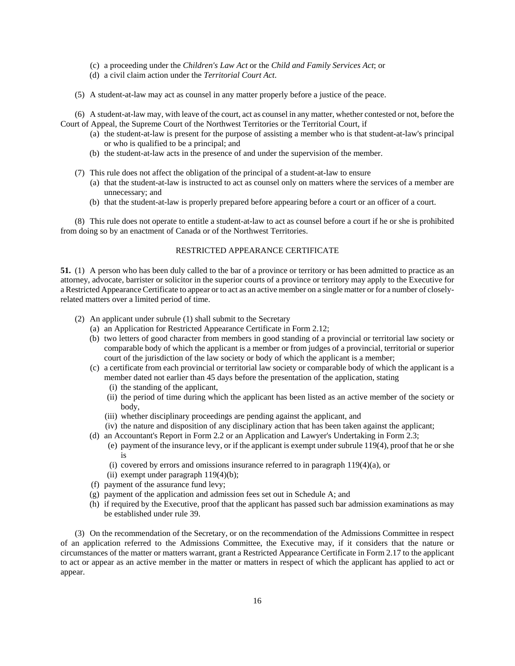- (c) a proceeding under the *Children's Law Act* or the *Child and Family Services Act*; or
- (d) a civil claim action under the *Territorial Court Act*.
- (5) A student-at-law may act as counsel in any matter properly before a justice of the peace.

(6) A student-at-law may, with leave of the court, act as counsel in any matter, whether contested or not, before the Court of Appeal, the Supreme Court of the Northwest Territories or the Territorial Court, if

- (a) the student-at-law is present for the purpose of assisting a member who is that student-at-law's principal or who is qualified to be a principal; and
- (b) the student-at-law acts in the presence of and under the supervision of the member.
- (7) This rule does not affect the obligation of the principal of a student-at-law to ensure
	- (a) that the student-at-law is instructed to act as counsel only on matters where the services of a member are unnecessary; and
	- (b) that the student-at-law is properly prepared before appearing before a court or an officer of a court.

(8) This rule does not operate to entitle a student-at-law to act as counsel before a court if he or she is prohibited from doing so by an enactment of Canada or of the Northwest Territories.

## RESTRICTED APPEARANCE CERTIFICATE

**51.** (1) A person who has been duly called to the bar of a province or territory or has been admitted to practice as an attorney, advocate, barrister or solicitor in the superior courts of a province or territory may apply to the Executive for a Restricted Appearance Certificate to appear or to act as an active member on a single matter or for a number of closelyrelated matters over a limited period of time.

- (2) An applicant under subrule (1) shall submit to the Secretary
	- (a) an Application for Restricted Appearance Certificate in Form 2.12;
	- (b) two letters of good character from members in good standing of a provincial or territorial law society or comparable body of which the applicant is a member or from judges of a provincial, territorial or superior court of the jurisdiction of the law society or body of which the applicant is a member;
	- (c) a certificate from each provincial or territorial law society or comparable body of which the applicant is a member dated not earlier than 45 days before the presentation of the application, stating
		- (i) the standing of the applicant,
		- (ii) the period of time during which the applicant has been listed as an active member of the society or body,
		- (iii) whether disciplinary proceedings are pending against the applicant, and
		- (iv) the nature and disposition of any disciplinary action that has been taken against the applicant;
	- (d) an Accountant's Report in Form 2.2 or an Application and Lawyer's Undertaking in Form 2.3;
		- (e) payment of the insurance levy, or if the applicant is exempt under subrule 119(4), proof that he or she is
		- (i) covered by errors and omissions insurance referred to in paragraph  $119(4)(a)$ , or
		- (ii) exempt under paragraph  $119(4)(b)$ ;
	- (f) payment of the assurance fund levy;
	- (g) payment of the application and admission fees set out in Schedule A; and
	- (h) if required by the Executive, proof that the applicant has passed such bar admission examinations as may be established under rule 39.

(3) On the recommendation of the Secretary, or on the recommendation of the Admissions Committee in respect of an application referred to the Admissions Committee, the Executive may, if it considers that the nature or circumstances of the matter or matters warrant, grant a Restricted Appearance Certificate in Form 2.17 to the applicant to act or appear as an active member in the matter or matters in respect of which the applicant has applied to act or appear.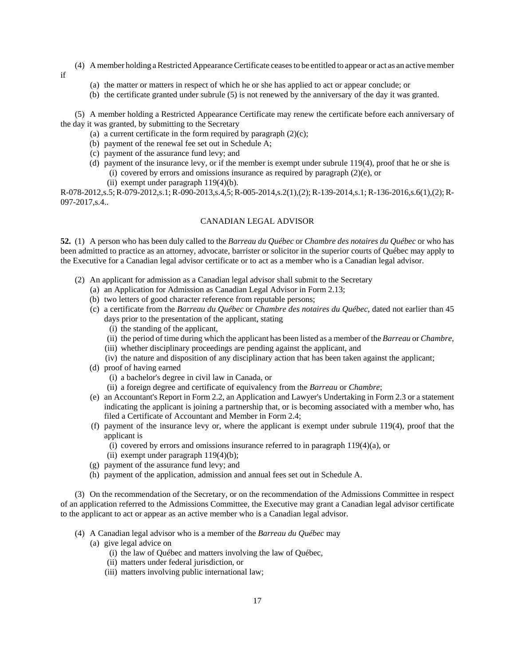- (4) A member holding a Restricted Appearance Certificate ceases to be entitled to appear or act as an active member
	- (a) the matter or matters in respect of which he or she has applied to act or appear conclude; or
	- (b) the certificate granted under subrule (5) is not renewed by the anniversary of the day it was granted.

(5) A member holding a Restricted Appearance Certificate may renew the certificate before each anniversary of the day it was granted, by submitting to the Secretary

- (a) a current certificate in the form required by paragraph  $(2)(c)$ ;
- (b) payment of the renewal fee set out in Schedule A;
- (c) payment of the assurance fund levy; and

if

- (d) payment of the insurance levy, or if the member is exempt under subrule 119(4), proof that he or she is (i) covered by errors and omissions insurance as required by paragraph (2)(e), or
	- (ii) exempt under paragraph 119(4)(b).

R-078-2012,s.5; R-079-2012,s.1; R-090-2013,s.4,5; R-005-2014,s.2(1),(2); R-139-2014,s.1; R-136-2016,s.6(1),(2); R-097-2017,s.4..

## CANADIAN LEGAL ADVISOR

**52.** (1) A person who has been duly called to the *Barreau du Québec* or *Chambre des notaires du Québec* or who has been admitted to practice as an attorney, advocate, barrister or solicitor in the superior courts of Québec may apply to the Executive for a Canadian legal advisor certificate or to act as a member who is a Canadian legal advisor.

- (2) An applicant for admission as a Canadian legal advisor shall submit to the Secretary
	- (a) an Application for Admission as Canadian Legal Advisor in Form 2.13;
	- (b) two letters of good character reference from reputable persons;
	- (c) a certificate from the *Barreau du Québec* or *Chambre des notaires du Québec*, dated not earlier than 45 days prior to the presentation of the applicant, stating
		- (i) the standing of the applicant,
		- (ii) the period of time during which the applicant has been listed as a member of the *Barreau* or *Chambre*,
		- (iii) whether disciplinary proceedings are pending against the applicant, and
		- (iv) the nature and disposition of any disciplinary action that has been taken against the applicant;
	- (d) proof of having earned
		- (i) a bachelor's degree in civil law in Canada, or
		- (ii) a foreign degree and certificate of equivalency from the *Barreau* or *Chambre*;
	- (e) an Accountant's Report in Form 2.2, an Application and Lawyer's Undertaking in Form 2.3 or a statement indicating the applicant is joining a partnership that, or is becoming associated with a member who, has filed a Certificate of Accountant and Member in Form 2.4;
	- (f) payment of the insurance levy or, where the applicant is exempt under subrule 119(4), proof that the applicant is
		- (i) covered by errors and omissions insurance referred to in paragraph 119(4)(a), or
		- (ii) exempt under paragraph  $119(4)(b)$ ;
	- (g) payment of the assurance fund levy; and
	- (h) payment of the application, admission and annual fees set out in Schedule A.

(3) On the recommendation of the Secretary, or on the recommendation of the Admissions Committee in respect of an application referred to the Admissions Committee, the Executive may grant a Canadian legal advisor certificate to the applicant to act or appear as an active member who is a Canadian legal advisor.

- (4) A Canadian legal advisor who is a member of the *Barreau du Québec* may
	- (a) give legal advice on
		- (i) the law of Québec and matters involving the law of Québec,
		- (ii) matters under federal jurisdiction, or
		- (iii) matters involving public international law;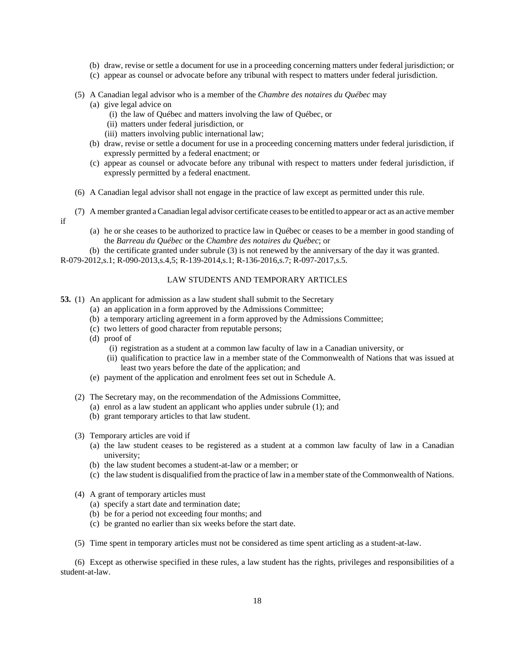- (b) draw, revise or settle a document for use in a proceeding concerning matters under federal jurisdiction; or
- (c) appear as counsel or advocate before any tribunal with respect to matters under federal jurisdiction.
- (5) A Canadian legal advisor who is a member of the *Chambre des notaires du Québec* may
	- (a) give legal advice on
		- (i) the law of Québec and matters involving the law of Québec, or
		- (ii) matters under federal jurisdiction, or
		- (iii) matters involving public international law;
	- (b) draw, revise or settle a document for use in a proceeding concerning matters under federal jurisdiction, if expressly permitted by a federal enactment; or
	- (c) appear as counsel or advocate before any tribunal with respect to matters under federal jurisdiction, if expressly permitted by a federal enactment.
- (6) A Canadian legal advisor shall not engage in the practice of law except as permitted under this rule.
- (7) A member granted a Canadian legal advisor certificate ceases to be entitled to appear or act as an active member if
	- (a) he or she ceases to be authorized to practice law in Québec or ceases to be a member in good standing of the *Barreau du Québec* or the *Chambre des notaires du Québec*; or
- (b) the certificate granted under subrule (3) is not renewed by the anniversary of the day it was granted. R-079-2012,s.1; R-090-2013,s.4,5; R-139-2014,s.1; R-136-2016,s.7; R-097-2017,s.5.

### LAW STUDENTS AND TEMPORARY ARTICLES

- **53.** (1) An applicant for admission as a law student shall submit to the Secretary
	- (a) an application in a form approved by the Admissions Committee;
	- (b) a temporary articling agreement in a form approved by the Admissions Committee;
	- (c) two letters of good character from reputable persons;
	- (d) proof of
		- (i) registration as a student at a common law faculty of law in a Canadian university, or
		- (ii) qualification to practice law in a member state of the Commonwealth of Nations that was issued at least two years before the date of the application; and
	- (e) payment of the application and enrolment fees set out in Schedule A.
	- (2) The Secretary may, on the recommendation of the Admissions Committee,
		- (a) enrol as a law student an applicant who applies under subrule (1); and
		- (b) grant temporary articles to that law student.
	- (3) Temporary articles are void if
		- (a) the law student ceases to be registered as a student at a common law faculty of law in a Canadian university;
		- (b) the law student becomes a student-at-law or a member; or
		- (c) the law student is disqualified from the practice of law in a member state of the Commonwealth of Nations.
	- (4) A grant of temporary articles must
		- (a) specify a start date and termination date;
		- (b) be for a period not exceeding four months; and
		- (c) be granted no earlier than six weeks before the start date.
	- (5) Time spent in temporary articles must not be considered as time spent articling as a student-at-law.

(6) Except as otherwise specified in these rules, a law student has the rights, privileges and responsibilities of a student-at-law.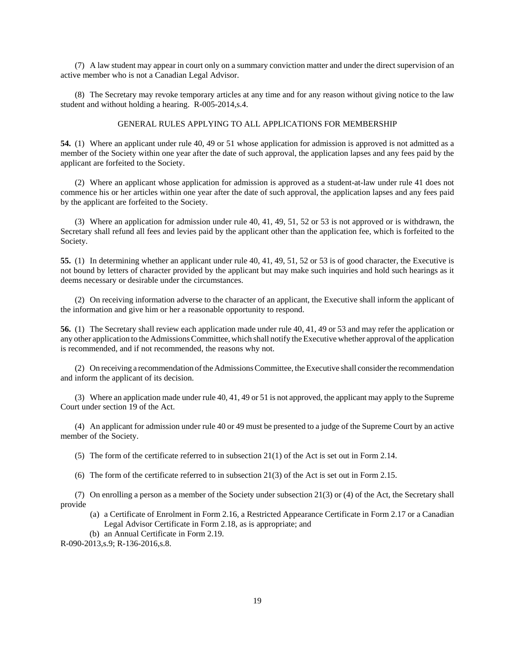(7) A law student may appear in court only on a summary conviction matter and under the direct supervision of an active member who is not a Canadian Legal Advisor.

(8) The Secretary may revoke temporary articles at any time and for any reason without giving notice to the law student and without holding a hearing. R-005-2014,s.4.

### GENERAL RULES APPLYING TO ALL APPLICATIONS FOR MEMBERSHIP

**54.** (1) Where an applicant under rule 40, 49 or 51 whose application for admission is approved is not admitted as a member of the Society within one year after the date of such approval, the application lapses and any fees paid by the applicant are forfeited to the Society.

(2) Where an applicant whose application for admission is approved as a student-at-law under rule 41 does not commence his or her articles within one year after the date of such approval, the application lapses and any fees paid by the applicant are forfeited to the Society.

(3) Where an application for admission under rule 40, 41, 49, 51, 52 or 53 is not approved or is withdrawn, the Secretary shall refund all fees and levies paid by the applicant other than the application fee, which is forfeited to the Society.

**55.** (1) In determining whether an applicant under rule 40, 41, 49, 51, 52 or 53 is of good character, the Executive is not bound by letters of character provided by the applicant but may make such inquiries and hold such hearings as it deems necessary or desirable under the circumstances.

(2) On receiving information adverse to the character of an applicant, the Executive shall inform the applicant of the information and give him or her a reasonable opportunity to respond.

**56.** (1) The Secretary shall review each application made under rule 40, 41, 49 or 53 and may refer the application or any other application to the Admissions Committee, which shall notify the Executive whether approval of the application is recommended, and if not recommended, the reasons why not.

(2) On receiving a recommendation of the Admissions Committee, the Executive shall consider the recommendation and inform the applicant of its decision.

(3) Where an application made under rule 40, 41, 49 or 51 is not approved, the applicant may apply to the Supreme Court under section 19 of the Act.

(4) An applicant for admission under rule 40 or 49 must be presented to a judge of the Supreme Court by an active member of the Society.

(5) The form of the certificate referred to in subsection 21(1) of the Act is set out in Form 2.14.

(6) The form of the certificate referred to in subsection 21(3) of the Act is set out in Form 2.15.

(7) On enrolling a person as a member of the Society under subsection 21(3) or (4) of the Act, the Secretary shall provide

- (a) a Certificate of Enrolment in Form 2.16, a Restricted Appearance Certificate in Form 2.17 or a Canadian Legal Advisor Certificate in Form 2.18, as is appropriate; and
- (b) an Annual Certificate in Form 2.19.

R-090-2013,s.9; R-136-2016,s.8.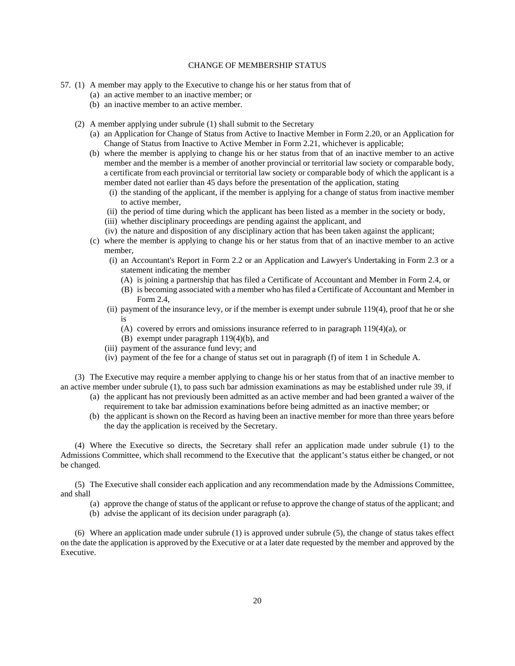## CHANGE OF MEMBERSHIP STATUS

- 57. (1) A member may apply to the Executive to change his or her status from that of
	- (a) an active member to an inactive member; or
	- (b) an inactive member to an active member.
	- (2) A member applying under subrule (1) shall submit to the Secretary
		- (a) an Application for Change of Status from Active to Inactive Member in Form 2.20, or an Application for Change of Status from Inactive to Active Member in Form 2.21, whichever is applicable;
		- (b) where the member is applying to change his or her status from that of an inactive member to an active member and the member is a member of another provincial or territorial law society or comparable body, a certificate from each provincial or territorial law society or comparable body of which the applicant is a member dated not earlier than 45 days before the presentation of the application, stating
			- (i) the standing of the applicant, if the member is applying for a change of status from inactive member to active member,
			- (ii) the period of time during which the applicant has been listed as a member in the society or body,
			- (iii) whether disciplinary proceedings are pending against the applicant, and
			- (iv) the nature and disposition of any disciplinary action that has been taken against the applicant;
		- (c) where the member is applying to change his or her status from that of an inactive member to an active member,
			- (i) an Accountant's Report in Form 2.2 or an Application and Lawyer's Undertaking in Form 2.3 or a statement indicating the member
				- (A) is joining a partnership that has filed a Certificate of Accountant and Member in Form 2.4, or
				- (B) is becoming associated with a member who has filed a Certificate of Accountant and Member in Form 2.4,
			- (ii) payment of the insurance levy, or if the member is exempt under subrule 119(4), proof that he or she is
				- (A) covered by errors and omissions insurance referred to in paragraph 119(4)(a), or
				- (B) exempt under paragraph 119(4)(b), and
			- (iii) payment of the assurance fund levy; and
			- (iv) payment of the fee for a change of status set out in paragraph (f) of item 1 in Schedule A.

(3) The Executive may require a member applying to change his or her status from that of an inactive member to an active member under subrule (1), to pass such bar admission examinations as may be established under rule 39, if

- (a) the applicant has not previously been admitted as an active member and had been granted a waiver of the requirement to take bar admission examinations before being admitted as an inactive member; or
- (b) the applicant is shown on the Record as having been an inactive member for more than three years before the day the application is received by the Secretary.

(4) Where the Executive so directs, the Secretary shall refer an application made under subrule (1) to the Admissions Committee, which shall recommend to the Executive that the applicant's status either be changed, or not be changed.

(5) The Executive shall consider each application and any recommendation made by the Admissions Committee, and shall

- (a) approve the change of status of the applicant or refuse to approve the change of status of the applicant; and
- (b) advise the applicant of its decision under paragraph (a).

(6) Where an application made under subrule (1) is approved under subrule (5), the change of status takes effect on the date the application is approved by the Executive or at a later date requested by the member and approved by the Executive.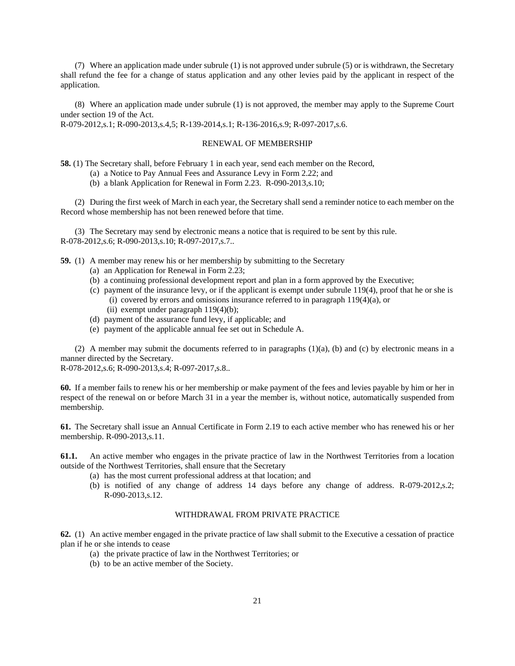(7) Where an application made under subrule (1) is not approved under subrule (5) or is withdrawn, the Secretary shall refund the fee for a change of status application and any other levies paid by the applicant in respect of the application.

(8) Where an application made under subrule (1) is not approved, the member may apply to the Supreme Court under section 19 of the Act.

R-079-2012,s.1; R-090-2013,s.4,5; R-139-2014,s.1; R-136-2016,s.9; R-097-2017,s.6.

## RENEWAL OF MEMBERSHIP

**58.** (1) The Secretary shall, before February 1 in each year, send each member on the Record,

- (a) a Notice to Pay Annual Fees and Assurance Levy in Form 2.22; and
- (b) a blank Application for Renewal in Form 2.23. R-090-2013,s.10;

(2) During the first week of March in each year, the Secretary shall send a reminder notice to each member on the Record whose membership has not been renewed before that time.

(3) The Secretary may send by electronic means a notice that is required to be sent by this rule. R-078-2012,s.6; R-090-2013,s.10; R-097-2017,s.7..

**59.** (1) A member may renew his or her membership by submitting to the Secretary

- (a) an Application for Renewal in Form 2.23;
- (b) a continuing professional development report and plan in a form approved by the Executive;
- (c) payment of the insurance levy, or if the applicant is exempt under subrule 119(4), proof that he or she is (i) covered by errors and omissions insurance referred to in paragraph 119(4)(a), or
	- (ii) exempt under paragraph  $119(4)(b)$ ;
- (d) payment of the assurance fund levy, if applicable; and
- (e) payment of the applicable annual fee set out in Schedule A.

(2) A member may submit the documents referred to in paragraphs  $(1)(a)$ ,  $(b)$  and  $(c)$  by electronic means in a manner directed by the Secretary.

R-078-2012,s.6; R-090-2013,s.4; R-097-2017,s.8..

**60.** If a member fails to renew his or her membership or make payment of the fees and levies payable by him or her in respect of the renewal on or before March 31 in a year the member is, without notice, automatically suspended from membership.

**61.** The Secretary shall issue an Annual Certificate in Form 2.19 to each active member who has renewed his or her membership. R-090-2013,s.11.

**61.1.** An active member who engages in the private practice of law in the Northwest Territories from a location outside of the Northwest Territories, shall ensure that the Secretary

- (a) has the most current professional address at that location; and
- (b) is notified of any change of address 14 days before any change of address. R-079-2012,s.2; R-090-2013,s.12.

#### WITHDRAWAL FROM PRIVATE PRACTICE

**62.** (1) An active member engaged in the private practice of law shall submit to the Executive a cessation of practice plan if he or she intends to cease

- (a) the private practice of law in the Northwest Territories; or
- (b) to be an active member of the Society.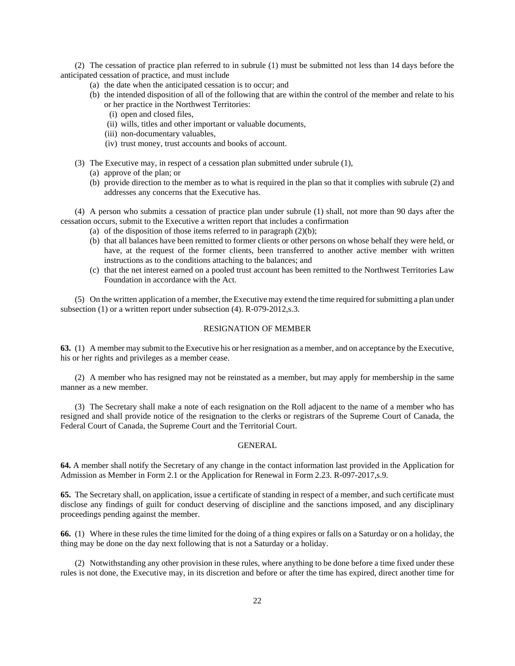(2) The cessation of practice plan referred to in subrule (1) must be submitted not less than 14 days before the anticipated cessation of practice, and must include

- (a) the date when the anticipated cessation is to occur; and
- (b) the intended disposition of all of the following that are within the control of the member and relate to his or her practice in the Northwest Territories:
	- (i) open and closed files,
	- (ii) wills, titles and other important or valuable documents,
	- (iii) non-documentary valuables,
	- (iv) trust money, trust accounts and books of account.
- (3) The Executive may, in respect of a cessation plan submitted under subrule (1),
	- (a) approve of the plan; or
	- (b) provide direction to the member as to what is required in the plan so that it complies with subrule (2) and addresses any concerns that the Executive has.

(4) A person who submits a cessation of practice plan under subrule (1) shall, not more than 90 days after the cessation occurs, submit to the Executive a written report that includes a confirmation

- (a) of the disposition of those items referred to in paragraph  $(2)(b)$ ;
- (b) that all balances have been remitted to former clients or other persons on whose behalf they were held, or have, at the request of the former clients, been transferred to another active member with written instructions as to the conditions attaching to the balances; and
- (c) that the net interest earned on a pooled trust account has been remitted to the Northwest Territories Law Foundation in accordance with the Act.

(5) On the written application of a member, the Executive may extend the time required for submitting a plan under subsection (1) or a written report under subsection (4). R-079-2012,s.3.

#### RESIGNATION OF MEMBER

**63.** (1) A member may submit to the Executive his or her resignation as a member, and on acceptance by the Executive, his or her rights and privileges as a member cease.

(2) A member who has resigned may not be reinstated as a member, but may apply for membership in the same manner as a new member.

(3) The Secretary shall make a note of each resignation on the Roll adjacent to the name of a member who has resigned and shall provide notice of the resignation to the clerks or registrars of the Supreme Court of Canada, the Federal Court of Canada, the Supreme Court and the Territorial Court.

#### GENERAL

**64.** A member shall notify the Secretary of any change in the contact information last provided in the Application for Admission as Member in Form 2.1 or the Application for Renewal in Form 2.23. R-097-2017,s.9.

**65.** The Secretary shall, on application, issue a certificate of standing in respect of a member, and such certificate must disclose any findings of guilt for conduct deserving of discipline and the sanctions imposed, and any disciplinary proceedings pending against the member.

**66.** (1) Where in these rules the time limited for the doing of a thing expires or falls on a Saturday or on a holiday, the thing may be done on the day next following that is not a Saturday or a holiday.

(2) Notwithstanding any other provision in these rules, where anything to be done before a time fixed under these rules is not done, the Executive may, in its discretion and before or after the time has expired, direct another time for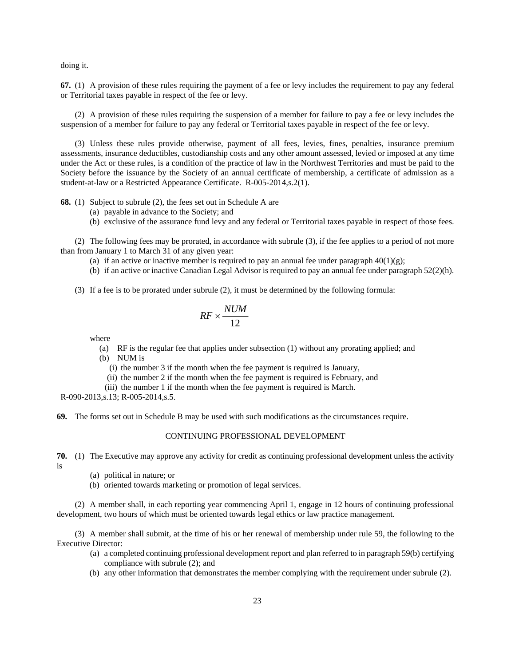doing it.

**67.** (1) A provision of these rules requiring the payment of a fee or levy includes the requirement to pay any federal or Territorial taxes payable in respect of the fee or levy.

(2) A provision of these rules requiring the suspension of a member for failure to pay a fee or levy includes the suspension of a member for failure to pay any federal or Territorial taxes payable in respect of the fee or levy.

(3) Unless these rules provide otherwise, payment of all fees, levies, fines, penalties, insurance premium assessments, insurance deductibles, custodianship costs and any other amount assessed, levied or imposed at any time under the Act or these rules, is a condition of the practice of law in the Northwest Territories and must be paid to the Society before the issuance by the Society of an annual certificate of membership, a certificate of admission as a student-at-law or a Restricted Appearance Certificate. R-005-2014,s.2(1).

**68.** (1) Subject to subrule (2), the fees set out in Schedule A are

- (a) payable in advance to the Society; and
- (b) exclusive of the assurance fund levy and any federal or Territorial taxes payable in respect of those fees.

(2) The following fees may be prorated, in accordance with subrule (3), if the fee applies to a period of not more than from January 1 to March 31 of any given year:

- (a) if an active or inactive member is required to pay an annual fee under paragraph  $40(1)(g)$ ;
- (b) if an active or inactive Canadian Legal Advisor is required to pay an annual fee under paragraph 52(2)(h).
- (3) If a fee is to be prorated under subrule (2), it must be determined by the following formula:

$$
RF \times \frac{NUM}{12}
$$

where

- (a) RF is the regular fee that applies under subsection (1) without any prorating applied; and
- (b) NUM is
	- (i) the number 3 if the month when the fee payment is required is January,
	- (ii) the number 2 if the month when the fee payment is required is February, and
- (iii) the number 1 if the month when the fee payment is required is March.

R-090-2013,s.13; R-005-2014,s.5.

**69.** The forms set out in Schedule B may be used with such modifications as the circumstances require.

### CONTINUING PROFESSIONAL DEVELOPMENT

**70.** (1) The Executive may approve any activity for credit as continuing professional development unless the activity is

- (a) political in nature; or
- (b) oriented towards marketing or promotion of legal services.

(2) A member shall, in each reporting year commencing April 1, engage in 12 hours of continuing professional development, two hours of which must be oriented towards legal ethics or law practice management.

(3) A member shall submit, at the time of his or her renewal of membership under rule 59, the following to the Executive Director:

- (a) a completed continuing professional development report and plan referred to in paragraph 59(b) certifying compliance with subrule (2); and
- (b) any other information that demonstrates the member complying with the requirement under subrule (2).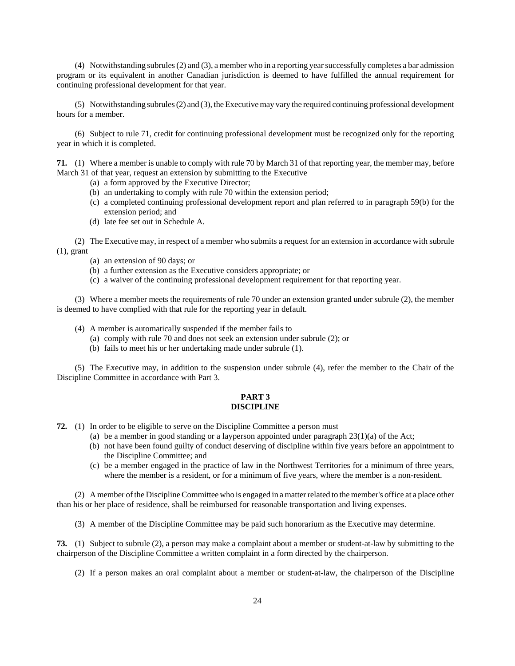(4) Notwithstanding subrules (2) and (3), a member who in a reporting year successfully completes a bar admission program or its equivalent in another Canadian jurisdiction is deemed to have fulfilled the annual requirement for continuing professional development for that year.

(5) Notwithstanding subrules (2) and (3), the Executive may vary the required continuing professional development hours for a member.

(6) Subject to rule 71, credit for continuing professional development must be recognized only for the reporting year in which it is completed.

**71.** (1) Where a member is unable to comply with rule 70 by March 31 of that reporting year, the member may, before March 31 of that year, request an extension by submitting to the Executive

- (a) a form approved by the Executive Director;
- (b) an undertaking to comply with rule 70 within the extension period;
- (c) a completed continuing professional development report and plan referred to in paragraph 59(b) for the extension period; and
- (d) late fee set out in Schedule A.

(2) The Executive may, in respect of a member who submits a request for an extension in accordance with subrule (1), grant

- (a) an extension of 90 days; or
- (b) a further extension as the Executive considers appropriate; or
- (c) a waiver of the continuing professional development requirement for that reporting year.

(3) Where a member meets the requirements of rule 70 under an extension granted under subrule (2), the member is deemed to have complied with that rule for the reporting year in default.

- (4) A member is automatically suspended if the member fails to
	- (a) comply with rule 70 and does not seek an extension under subrule (2); or
	- (b) fails to meet his or her undertaking made under subrule (1).

(5) The Executive may, in addition to the suspension under subrule (4), refer the member to the Chair of the Discipline Committee in accordance with Part 3.

## **PART 3 DISCIPLINE**

- **72.** (1) In order to be eligible to serve on the Discipline Committee a person must
	- (a) be a member in good standing or a layperson appointed under paragraph 23(1)(a) of the Act;
	- (b) not have been found guilty of conduct deserving of discipline within five years before an appointment to the Discipline Committee; and
	- (c) be a member engaged in the practice of law in the Northwest Territories for a minimum of three years, where the member is a resident, or for a minimum of five years, where the member is a non-resident.

(2) A member of the Discipline Committee who is engaged in a matter related to the member's office at a place other than his or her place of residence, shall be reimbursed for reasonable transportation and living expenses.

(3) A member of the Discipline Committee may be paid such honorarium as the Executive may determine.

**73.** (1) Subject to subrule (2), a person may make a complaint about a member or student-at-law by submitting to the chairperson of the Discipline Committee a written complaint in a form directed by the chairperson.

(2) If a person makes an oral complaint about a member or student-at-law, the chairperson of the Discipline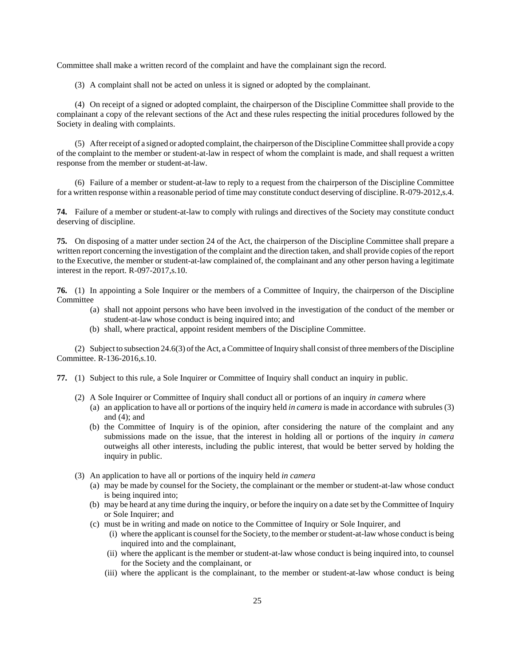Committee shall make a written record of the complaint and have the complainant sign the record.

(3) A complaint shall not be acted on unless it is signed or adopted by the complainant.

(4) On receipt of a signed or adopted complaint, the chairperson of the Discipline Committee shall provide to the complainant a copy of the relevant sections of the Act and these rules respecting the initial procedures followed by the Society in dealing with complaints.

(5) After receipt of a signed or adopted complaint, the chairperson of the Discipline Committee shall provide a copy of the complaint to the member or student-at-law in respect of whom the complaint is made, and shall request a written response from the member or student-at-law.

(6) Failure of a member or student-at-law to reply to a request from the chairperson of the Discipline Committee for a written response within a reasonable period of time may constitute conduct deserving of discipline. R-079-2012,s.4.

**74.** Failure of a member or student-at-law to comply with rulings and directives of the Society may constitute conduct deserving of discipline.

**75.** On disposing of a matter under section 24 of the Act, the chairperson of the Discipline Committee shall prepare a written report concerning the investigation of the complaint and the direction taken, and shall provide copies of the report to the Executive, the member or student-at-law complained of, the complainant and any other person having a legitimate interest in the report. R-097-2017,s.10.

**76.** (1) In appointing a Sole Inquirer or the members of a Committee of Inquiry, the chairperson of the Discipline **Committee** 

- (a) shall not appoint persons who have been involved in the investigation of the conduct of the member or student-at-law whose conduct is being inquired into; and
- (b) shall, where practical, appoint resident members of the Discipline Committee.

(2) Subject to subsection 24.6(3) of the Act, a Committee of Inquiry shall consist of three members of the Discipline Committee. R-136-2016,s.10.

**77.** (1) Subject to this rule, a Sole Inquirer or Committee of Inquiry shall conduct an inquiry in public.

- (2) A Sole Inquirer or Committee of Inquiry shall conduct all or portions of an inquiry *in camera* where
	- (a) an application to have all or portions of the inquiry held *in camera* is made in accordance with subrules (3) and (4); and
	- (b) the Committee of Inquiry is of the opinion, after considering the nature of the complaint and any submissions made on the issue, that the interest in holding all or portions of the inquiry *in camera* outweighs all other interests, including the public interest, that would be better served by holding the inquiry in public.
- (3) An application to have all or portions of the inquiry held *in camera*
	- (a) may be made by counsel for the Society, the complainant or the member or student-at-law whose conduct is being inquired into;
	- (b) may be heard at any time during the inquiry, or before the inquiry on a date set by the Committee of Inquiry or Sole Inquirer; and
	- (c) must be in writing and made on notice to the Committee of Inquiry or Sole Inquirer, and
		- (i) where the applicant is counsel for the Society, to the member or student-at-law whose conduct is being inquired into and the complainant,
		- (ii) where the applicant is the member or student-at-law whose conduct is being inquired into, to counsel for the Society and the complainant, or
		- (iii) where the applicant is the complainant, to the member or student-at-law whose conduct is being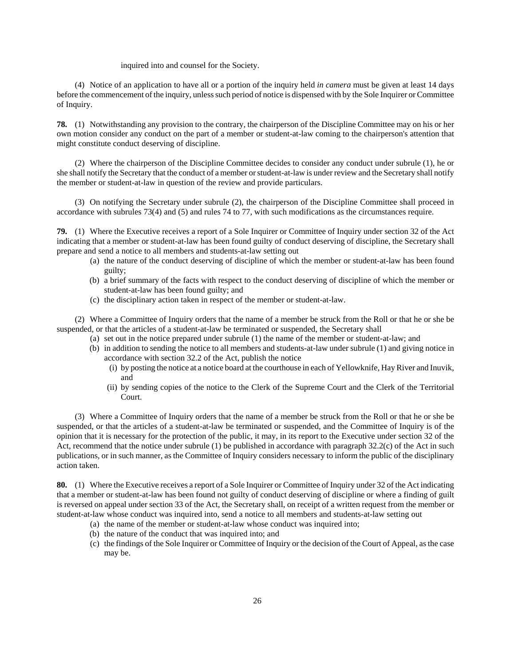### inquired into and counsel for the Society.

(4) Notice of an application to have all or a portion of the inquiry held *in camera* must be given at least 14 days before the commencement of the inquiry, unless such period of notice is dispensed with by the Sole Inquirer or Committee of Inquiry.

**78.** (1) Notwithstanding any provision to the contrary, the chairperson of the Discipline Committee may on his or her own motion consider any conduct on the part of a member or student-at-law coming to the chairperson's attention that might constitute conduct deserving of discipline.

(2) Where the chairperson of the Discipline Committee decides to consider any conduct under subrule (1), he or she shall notify the Secretary that the conduct of a member or student-at-law is under review and the Secretary shall notify the member or student-at-law in question of the review and provide particulars.

(3) On notifying the Secretary under subrule (2), the chairperson of the Discipline Committee shall proceed in accordance with subrules 73(4) and (5) and rules 74 to 77, with such modifications as the circumstances require.

**79.** (1) Where the Executive receives a report of a Sole Inquirer or Committee of Inquiry under section 32 of the Act indicating that a member or student-at-law has been found guilty of conduct deserving of discipline, the Secretary shall prepare and send a notice to all members and students-at-law setting out

- (a) the nature of the conduct deserving of discipline of which the member or student-at-law has been found guilty;
- (b) a brief summary of the facts with respect to the conduct deserving of discipline of which the member or student-at-law has been found guilty; and
- (c) the disciplinary action taken in respect of the member or student-at-law.

(2) Where a Committee of Inquiry orders that the name of a member be struck from the Roll or that he or she be suspended, or that the articles of a student-at-law be terminated or suspended, the Secretary shall

- (a) set out in the notice prepared under subrule (1) the name of the member or student-at-law; and
- (b) in addition to sending the notice to all members and students-at-law under subrule (1) and giving notice in accordance with section 32.2 of the Act, publish the notice
	- (i) by posting the notice at a notice board at the courthouse in each of Yellowknife, Hay River and Inuvik, and
	- (ii) by sending copies of the notice to the Clerk of the Supreme Court and the Clerk of the Territorial Court.

(3) Where a Committee of Inquiry orders that the name of a member be struck from the Roll or that he or she be suspended, or that the articles of a student-at-law be terminated or suspended, and the Committee of Inquiry is of the opinion that it is necessary for the protection of the public, it may, in its report to the Executive under section 32 of the Act, recommend that the notice under subrule (1) be published in accordance with paragraph 32.2(c) of the Act in such publications, or in such manner, as the Committee of Inquiry considers necessary to inform the public of the disciplinary action taken.

**80.** (1) Where the Executive receives a report of a Sole Inquirer or Committee of Inquiry under 32 of the Act indicating that a member or student-at-law has been found not guilty of conduct deserving of discipline or where a finding of guilt is reversed on appeal under section 33 of the Act, the Secretary shall, on receipt of a written request from the member or student-at-law whose conduct was inquired into, send a notice to all members and students-at-law setting out

- (a) the name of the member or student-at-law whose conduct was inquired into;
- (b) the nature of the conduct that was inquired into; and
- (c) the findings of the Sole Inquirer or Committee of Inquiry or the decision of the Court of Appeal, as the case may be.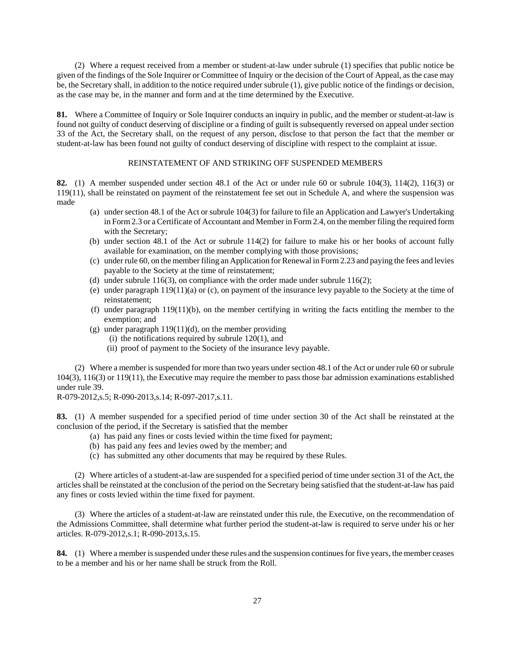(2) Where a request received from a member or student-at-law under subrule (1) specifies that public notice be given of the findings of the Sole Inquirer or Committee of Inquiry or the decision of the Court of Appeal, as the case may be, the Secretary shall, in addition to the notice required under subrule (1), give public notice of the findings or decision, as the case may be, in the manner and form and at the time determined by the Executive.

**81.** Where a Committee of Inquiry or Sole Inquirer conducts an inquiry in public, and the member or student-at-law is found not guilty of conduct deserving of discipline or a finding of guilt is subsequently reversed on appeal under section 33 of the Act, the Secretary shall, on the request of any person, disclose to that person the fact that the member or student-at-law has been found not guilty of conduct deserving of discipline with respect to the complaint at issue.

### REINSTATEMENT OF AND STRIKING OFF SUSPENDED MEMBERS

**82.** (1) A member suspended under section 48.1 of the Act or under rule 60 or subrule 104(3), 114(2), 116(3) or 119(11), shall be reinstated on payment of the reinstatement fee set out in Schedule A, and where the suspension was made

- (a) under section 48.1 of the Act or subrule 104(3) for failure to file an Application and Lawyer's Undertaking in Form 2.3 or a Certificate of Accountant and Member in Form 2.4, on the member filing the required form with the Secretary;
- (b) under section 48.1 of the Act or subrule 114(2) for failure to make his or her books of account fully available for examination, on the member complying with those provisions;
- (c) under rule 60, on the member filing an Application for Renewal in Form 2.23 and paying the fees and levies payable to the Society at the time of reinstatement;
- (d) under subrule  $116(3)$ , on compliance with the order made under subrule  $116(2)$ ;
- (e) under paragraph 119(11)(a) or (c), on payment of the insurance levy payable to the Society at the time of reinstatement;
- (f) under paragraph  $119(11)$ (b), on the member certifying in writing the facts entitling the member to the exemption; and
- (g) under paragraph  $119(11)(d)$ , on the member providing
	- (i) the notifications required by subrule  $120(1)$ , and
	- (ii) proof of payment to the Society of the insurance levy payable.

(2) Where a member is suspended for more than two years under section 48.1 of the Act or under rule 60 or subrule 104(3), 116(3) or 119(11), the Executive may require the member to pass those bar admission examinations established under rule 39.

R-079-2012,s.5; R-090-2013,s.14; R-097-2017,s.11.

**83.** (1) A member suspended for a specified period of time under section 30 of the Act shall be reinstated at the conclusion of the period, if the Secretary is satisfied that the member

- (a) has paid any fines or costs levied within the time fixed for payment;
- (b) has paid any fees and levies owed by the member; and
- (c) has submitted any other documents that may be required by these Rules.

(2) Where articles of a student-at-law are suspended for a specified period of time under section 31 of the Act, the articles shall be reinstated at the conclusion of the period on the Secretary being satisfied that the student-at-law has paid any fines or costs levied within the time fixed for payment.

(3) Where the articles of a student-at-law are reinstated under this rule, the Executive, on the recommendation of the Admissions Committee, shall determine what further period the student-at-law is required to serve under his or her articles. R-079-2012,s.1; R-090-2013,s.15.

**84.** (1) Where a member is suspended under these rules and the suspension continues for five years, the member ceases to be a member and his or her name shall be struck from the Roll.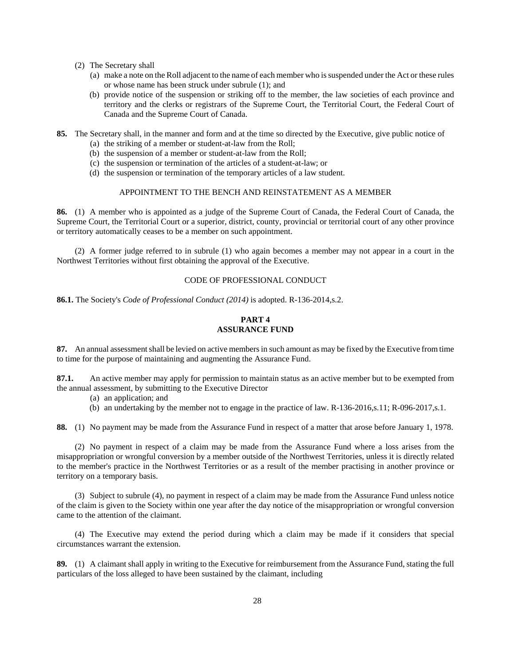- (2) The Secretary shall
	- (a) make a note on the Roll adjacent to the name of each member who is suspended under the Act or these rules or whose name has been struck under subrule (1); and
	- (b) provide notice of the suspension or striking off to the member, the law societies of each province and territory and the clerks or registrars of the Supreme Court, the Territorial Court, the Federal Court of Canada and the Supreme Court of Canada.
- **85.** The Secretary shall, in the manner and form and at the time so directed by the Executive, give public notice of
	- (a) the striking of a member or student-at-law from the Roll;
	- (b) the suspension of a member or student-at-law from the Roll;
	- (c) the suspension or termination of the articles of a student-at-law; or
	- (d) the suspension or termination of the temporary articles of a law student.

## APPOINTMENT TO THE BENCH AND REINSTATEMENT AS A MEMBER

**86.** (1) A member who is appointed as a judge of the Supreme Court of Canada, the Federal Court of Canada, the Supreme Court, the Territorial Court or a superior, district, county, provincial or territorial court of any other province or territory automatically ceases to be a member on such appointment.

(2) A former judge referred to in subrule (1) who again becomes a member may not appear in a court in the Northwest Territories without first obtaining the approval of the Executive.

## CODE OF PROFESSIONAL CONDUCT

**86.1.** The Society's *Code of Professional Conduct (2014)* is adopted. R-136-2014,s.2.

## **PART 4 ASSURANCE FUND**

**87.** An annual assessment shall be levied on active members in such amount as may be fixed by the Executive from time to time for the purpose of maintaining and augmenting the Assurance Fund.

**87.1.** An active member may apply for permission to maintain status as an active member but to be exempted from the annual assessment, by submitting to the Executive Director

- (a) an application; and
- (b) an undertaking by the member not to engage in the practice of law. R-136-2016,s.11; R-096-2017,s.1.

**88.** (1) No payment may be made from the Assurance Fund in respect of a matter that arose before January 1, 1978.

(2) No payment in respect of a claim may be made from the Assurance Fund where a loss arises from the misappropriation or wrongful conversion by a member outside of the Northwest Territories, unless it is directly related to the member's practice in the Northwest Territories or as a result of the member practising in another province or territory on a temporary basis.

(3) Subject to subrule (4), no payment in respect of a claim may be made from the Assurance Fund unless notice of the claim is given to the Society within one year after the day notice of the misappropriation or wrongful conversion came to the attention of the claimant.

(4) The Executive may extend the period during which a claim may be made if it considers that special circumstances warrant the extension.

**89.** (1) A claimant shall apply in writing to the Executive for reimbursement from the Assurance Fund, stating the full particulars of the loss alleged to have been sustained by the claimant, including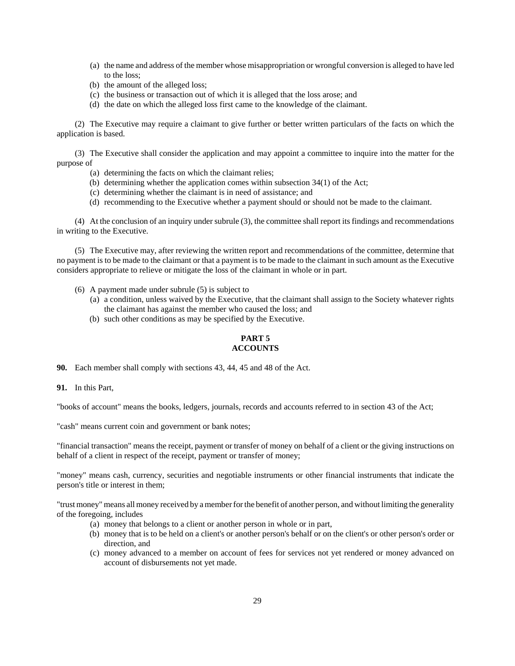- (a) the name and address of the member whose misappropriation or wrongful conversion is alleged to have led to the loss;
- (b) the amount of the alleged loss;
- (c) the business or transaction out of which it is alleged that the loss arose; and
- (d) the date on which the alleged loss first came to the knowledge of the claimant.

(2) The Executive may require a claimant to give further or better written particulars of the facts on which the application is based.

(3) The Executive shall consider the application and may appoint a committee to inquire into the matter for the purpose of

- (a) determining the facts on which the claimant relies;
- (b) determining whether the application comes within subsection 34(1) of the Act;
- (c) determining whether the claimant is in need of assistance; and
- (d) recommending to the Executive whether a payment should or should not be made to the claimant.

(4) At the conclusion of an inquiry under subrule (3), the committee shall report its findings and recommendations in writing to the Executive.

(5) The Executive may, after reviewing the written report and recommendations of the committee, determine that no payment is to be made to the claimant or that a payment is to be made to the claimant in such amount as the Executive considers appropriate to relieve or mitigate the loss of the claimant in whole or in part.

- (6) A payment made under subrule (5) is subject to
	- (a) a condition, unless waived by the Executive, that the claimant shall assign to the Society whatever rights the claimant has against the member who caused the loss; and
	- (b) such other conditions as may be specified by the Executive.

## **PART 5 ACCOUNTS**

**90.** Each member shall comply with sections 43, 44, 45 and 48 of the Act.

**91.** In this Part,

"books of account" means the books, ledgers, journals, records and accounts referred to in section 43 of the Act;

"cash" means current coin and government or bank notes;

"financial transaction" means the receipt, payment or transfer of money on behalf of a client or the giving instructions on behalf of a client in respect of the receipt, payment or transfer of money;

"money" means cash, currency, securities and negotiable instruments or other financial instruments that indicate the person's title or interest in them;

"trust money" means all money received by a member for the benefit of another person, and without limiting the generality of the foregoing, includes

- (a) money that belongs to a client or another person in whole or in part,
- (b) money that is to be held on a client's or another person's behalf or on the client's or other person's order or direction, and
- (c) money advanced to a member on account of fees for services not yet rendered or money advanced on account of disbursements not yet made.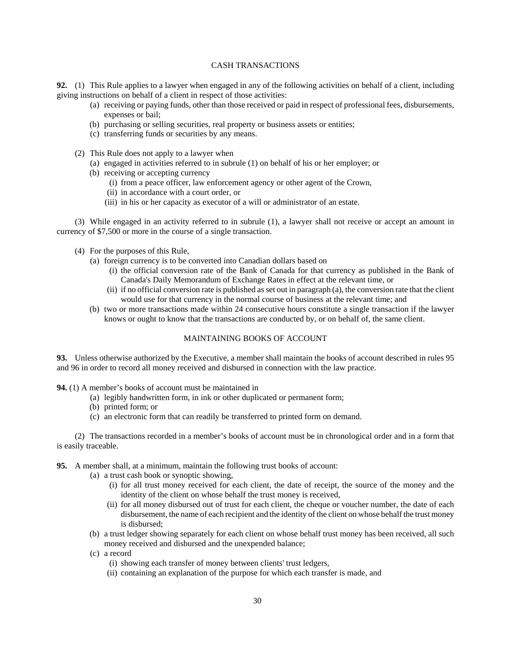## CASH TRANSACTIONS

**92.** (1) This Rule applies to a lawyer when engaged in any of the following activities on behalf of a client, including giving instructions on behalf of a client in respect of those activities:

- (a) receiving or paying funds, other than those received or paid in respect of professional fees, disbursements, expenses or bail;
- (b) purchasing or selling securities, real property or business assets or entities;
- (c) transferring funds or securities by any means.
- (2) This Rule does not apply to a lawyer when
	- (a) engaged in activities referred to in subrule (1) on behalf of his or her employer; or
	- (b) receiving or accepting currency
		- (i) from a peace officer, law enforcement agency or other agent of the Crown,
		- (ii) in accordance with a court order, or
		- (iii) in his or her capacity as executor of a will or administrator of an estate.

(3) While engaged in an activity referred to in subrule (1), a lawyer shall not receive or accept an amount in currency of \$7,500 or more in the course of a single transaction.

- (4) For the purposes of this Rule,
	- (a) foreign currency is to be converted into Canadian dollars based on
		- (i) the official conversion rate of the Bank of Canada for that currency as published in the Bank of Canada's Daily Memorandum of Exchange Rates in effect at the relevant time, or
		- (ii) if no official conversion rate is published as set out in paragraph (a), the conversion rate that the client would use for that currency in the normal course of business at the relevant time; and
	- (b) two or more transactions made within 24 consecutive hours constitute a single transaction if the lawyer knows or ought to know that the transactions are conducted by, or on behalf of, the same client.

## MAINTAINING BOOKS OF ACCOUNT

**93.** Unless otherwise authorized by the Executive, a member shall maintain the books of account described in rules 95 and 96 in order to record all money received and disbursed in connection with the law practice.

- **94.** (1) A member's books of account must be maintained in
	- (a) legibly handwritten form, in ink or other duplicated or permanent form;
	- (b) printed form; or
	- (c) an electronic form that can readily be transferred to printed form on demand.

(2) The transactions recorded in a member's books of account must be in chronological order and in a form that is easily traceable.

- **95.** A member shall, at a minimum, maintain the following trust books of account:
	- (a) a trust cash book or synoptic showing,
		- (i) for all trust money received for each client, the date of receipt, the source of the money and the identity of the client on whose behalf the trust money is received,
		- (ii) for all money disbursed out of trust for each client, the cheque or voucher number, the date of each disbursement, the name of each recipient and the identity of the client on whose behalf the trust money is disbursed;
	- (b) a trust ledger showing separately for each client on whose behalf trust money has been received, all such money received and disbursed and the unexpended balance;
	- (c) a record
		- (i) showing each transfer of money between clients' trust ledgers,
		- (ii) containing an explanation of the purpose for which each transfer is made, and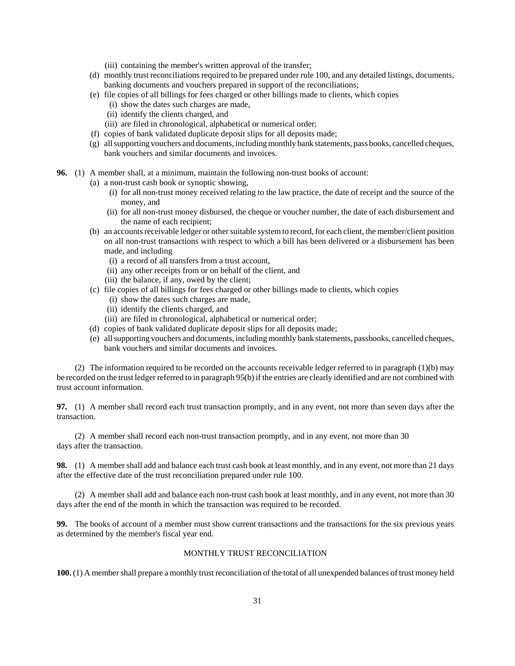- (iii) containing the member's written approval of the transfer;
- (d) monthly trust reconciliations required to be prepared under rule 100, and any detailed listings, documents, banking documents and vouchers prepared in support of the reconciliations;
- (e) file copies of all billings for fees charged or other billings made to clients, which copies
	- (i) show the dates such charges are made,
	- (ii) identify the clients charged, and
	- (iii) are filed in chronological, alphabetical or numerical order;
- (f) copies of bank validated duplicate deposit slips for all deposits made;
- (g) all supporting vouchers and documents, including monthly bank statements, pass books, cancelled cheques, bank vouchers and similar documents and invoices.
- **96.** (1) A member shall, at a minimum, maintain the following non-trust books of account:
	- (a) a non-trust cash book or synoptic showing,
		- (i) for all non-trust money received relating to the law practice, the date of receipt and the source of the money, and
		- (ii) for all non-trust money disbursed, the cheque or voucher number, the date of each disbursement and the name of each recipient;
	- (b) an accounts receivable ledger or other suitable system to record, for each client, the member/client position on all non-trust transactions with respect to which a bill has been delivered or a disbursement has been made, and including
		- (i) a record of all transfers from a trust account,
		- (ii) any other receipts from or on behalf of the client, and
		- (iii) the balance, if any, owed by the client;
	- (c) file copies of all billings for fees charged or other billings made to clients, which copies
		- (i) show the dates such charges are made,
		- (ii) identify the clients charged, and
		- (iii) are filed in chronological, alphabetical or numerical order;
	- (d) copies of bank validated duplicate deposit slips for all deposits made;
	- (e) all supporting vouchers and documents, including monthly bank statements, passbooks, cancelled cheques, bank vouchers and similar documents and invoices.

(2) The information required to be recorded on the accounts receivable ledger referred to in paragraph (1)(b) may be recorded on the trust ledger referred to in paragraph 95(b) if the entries are clearly identified and are not combined with trust account information.

**97.** (1) A member shall record each trust transaction promptly, and in any event, not more than seven days after the transaction.

(2) A member shall record each non-trust transaction promptly, and in any event, not more than 30 days after the transaction.

**98.** (1) A member shall add and balance each trust cash book at least monthly, and in any event, not more than 21 days after the effective date of the trust reconciliation prepared under rule 100.

(2) A member shall add and balance each non-trust cash book at least monthly, and in any event, not more than 30 days after the end of the month in which the transaction was required to be recorded.

**99.** The books of account of a member must show current transactions and the transactions for the six previous years as determined by the member's fiscal year end.

#### MONTHLY TRUST RECONCILIATION

**100.** (1) A member shall prepare a monthly trust reconciliation of the total of all unexpended balances of trust money held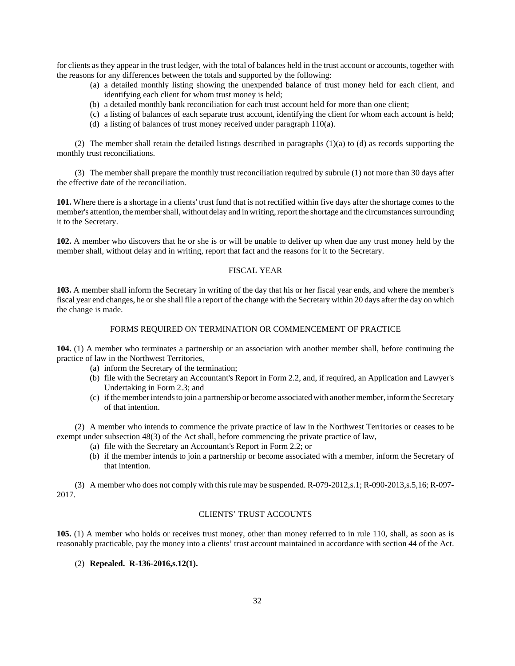for clients as they appear in the trust ledger, with the total of balances held in the trust account or accounts, together with the reasons for any differences between the totals and supported by the following:

- (a) a detailed monthly listing showing the unexpended balance of trust money held for each client, and identifying each client for whom trust money is held;
- (b) a detailed monthly bank reconciliation for each trust account held for more than one client;
- (c) a listing of balances of each separate trust account, identifying the client for whom each account is held;
- (d) a listing of balances of trust money received under paragraph 110(a).

(2) The member shall retain the detailed listings described in paragraphs (1)(a) to (d) as records supporting the monthly trust reconciliations.

(3) The member shall prepare the monthly trust reconciliation required by subrule (1) not more than 30 days after the effective date of the reconciliation.

**101.** Where there is a shortage in a clients' trust fund that is not rectified within five days after the shortage comes to the member's attention, the member shall, without delay and in writing, report the shortage and the circumstances surrounding it to the Secretary.

**102.** A member who discovers that he or she is or will be unable to deliver up when due any trust money held by the member shall, without delay and in writing, report that fact and the reasons for it to the Secretary.

### FISCAL YEAR

**103.** A member shall inform the Secretary in writing of the day that his or her fiscal year ends, and where the member's fiscal year end changes, he or she shall file a report of the change with the Secretary within 20 days after the day on which the change is made.

## FORMS REQUIRED ON TERMINATION OR COMMENCEMENT OF PRACTICE

**104.** (1) A member who terminates a partnership or an association with another member shall, before continuing the practice of law in the Northwest Territories,

- (a) inform the Secretary of the termination;
- (b) file with the Secretary an Accountant's Report in Form 2.2, and, if required, an Application and Lawyer's Undertaking in Form 2.3; and
- (c) if the member intends to join a partnership or become associated with another member, inform the Secretary of that intention.

(2) A member who intends to commence the private practice of law in the Northwest Territories or ceases to be exempt under subsection 48(3) of the Act shall, before commencing the private practice of law,

- (a) file with the Secretary an Accountant's Report in Form 2.2; or
- (b) if the member intends to join a partnership or become associated with a member, inform the Secretary of that intention.

(3) A member who does not comply with this rule may be suspended. R-079-2012,s.1; R-090-2013,s.5,16; R-097- 2017.

## CLIENTS' TRUST ACCOUNTS

**105.** (1) A member who holds or receives trust money, other than money referred to in rule 110, shall, as soon as is reasonably practicable, pay the money into a clients' trust account maintained in accordance with section 44 of the Act.

(2) **Repealed. R-136-2016,s.12(1).**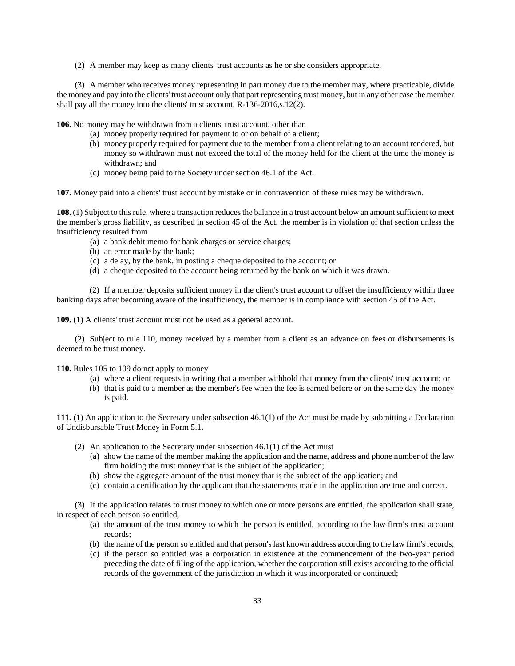(2) A member may keep as many clients' trust accounts as he or she considers appropriate.

(3) A member who receives money representing in part money due to the member may, where practicable, divide the money and pay into the clients' trust account only that part representing trust money, but in any other case the member shall pay all the money into the clients' trust account. R-136-2016,s.12(2).

**106.** No money may be withdrawn from a clients' trust account, other than

- (a) money properly required for payment to or on behalf of a client;
- (b) money properly required for payment due to the member from a client relating to an account rendered, but money so withdrawn must not exceed the total of the money held for the client at the time the money is withdrawn; and
- (c) money being paid to the Society under section 46.1 of the Act.

**107.** Money paid into a clients' trust account by mistake or in contravention of these rules may be withdrawn.

**108.** (1) Subject to this rule, where a transaction reduces the balance in a trust account below an amount sufficient to meet the member's gross liability, as described in section 45 of the Act, the member is in violation of that section unless the insufficiency resulted from

- (a) a bank debit memo for bank charges or service charges;
- (b) an error made by the bank;
- (c) a delay, by the bank, in posting a cheque deposited to the account; or
- (d) a cheque deposited to the account being returned by the bank on which it was drawn.

(2) If a member deposits sufficient money in the client's trust account to offset the insufficiency within three banking days after becoming aware of the insufficiency, the member is in compliance with section 45 of the Act.

**109.** (1) A clients' trust account must not be used as a general account.

(2) Subject to rule 110, money received by a member from a client as an advance on fees or disbursements is deemed to be trust money.

**110.** Rules 105 to 109 do not apply to money

- (a) where a client requests in writing that a member withhold that money from the clients' trust account; or
- (b) that is paid to a member as the member's fee when the fee is earned before or on the same day the money is paid.

**111.** (1) An application to the Secretary under subsection 46.1(1) of the Act must be made by submitting a Declaration of Undisbursable Trust Money in Form 5.1.

- (2) An application to the Secretary under subsection 46.1(1) of the Act must
	- (a) show the name of the member making the application and the name, address and phone number of the law firm holding the trust money that is the subject of the application;
	- (b) show the aggregate amount of the trust money that is the subject of the application; and
	- (c) contain a certification by the applicant that the statements made in the application are true and correct.

(3) If the application relates to trust money to which one or more persons are entitled, the application shall state, in respect of each person so entitled,

- (a) the amount of the trust money to which the person is entitled, according to the law firm's trust account records;
- (b) the name of the person so entitled and that person's last known address according to the law firm's records;
- (c) if the person so entitled was a corporation in existence at the commencement of the two-year period preceding the date of filing of the application, whether the corporation still exists according to the official records of the government of the jurisdiction in which it was incorporated or continued;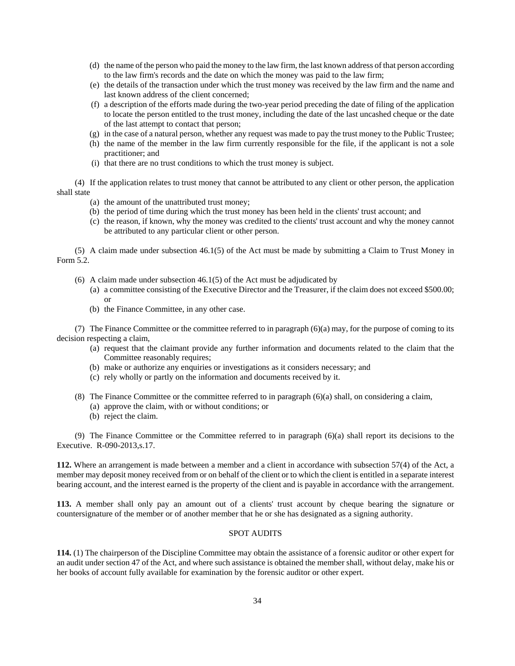- (d) the name of the person who paid the money to the law firm, the last known address of that person according to the law firm's records and the date on which the money was paid to the law firm;
- (e) the details of the transaction under which the trust money was received by the law firm and the name and last known address of the client concerned;
- (f) a description of the efforts made during the two-year period preceding the date of filing of the application to locate the person entitled to the trust money, including the date of the last uncashed cheque or the date of the last attempt to contact that person;
- (g) in the case of a natural person, whether any request was made to pay the trust money to the Public Trustee;
- (h) the name of the member in the law firm currently responsible for the file, if the applicant is not a sole practitioner; and
- (i) that there are no trust conditions to which the trust money is subject.

(4) If the application relates to trust money that cannot be attributed to any client or other person, the application shall state

- (a) the amount of the unattributed trust money;
- (b) the period of time during which the trust money has been held in the clients' trust account; and
- (c) the reason, if known, why the money was credited to the clients' trust account and why the money cannot be attributed to any particular client or other person.

(5) A claim made under subsection 46.1(5) of the Act must be made by submitting a Claim to Trust Money in Form 5.2.

- (6) A claim made under subsection 46.1(5) of the Act must be adjudicated by
	- (a) a committee consisting of the Executive Director and the Treasurer, if the claim does not exceed \$500.00; or
	- (b) the Finance Committee, in any other case.

(7) The Finance Committee or the committee referred to in paragraph (6)(a) may, for the purpose of coming to its decision respecting a claim,

- (a) request that the claimant provide any further information and documents related to the claim that the Committee reasonably requires;
- (b) make or authorize any enquiries or investigations as it considers necessary; and
- (c) rely wholly or partly on the information and documents received by it.
- (8) The Finance Committee or the committee referred to in paragraph (6)(a) shall, on considering a claim,
	- (a) approve the claim, with or without conditions; or
	- (b) reject the claim.

(9) The Finance Committee or the Committee referred to in paragraph (6)(a) shall report its decisions to the Executive. R-090-2013,s.17.

**112.** Where an arrangement is made between a member and a client in accordance with subsection 57(4) of the Act, a member may deposit money received from or on behalf of the client or to which the client is entitled in a separate interest bearing account, and the interest earned is the property of the client and is payable in accordance with the arrangement.

**113.** A member shall only pay an amount out of a clients' trust account by cheque bearing the signature or countersignature of the member or of another member that he or she has designated as a signing authority.

## SPOT AUDITS

**114.** (1) The chairperson of the Discipline Committee may obtain the assistance of a forensic auditor or other expert for an audit under section 47 of the Act, and where such assistance is obtained the member shall, without delay, make his or her books of account fully available for examination by the forensic auditor or other expert.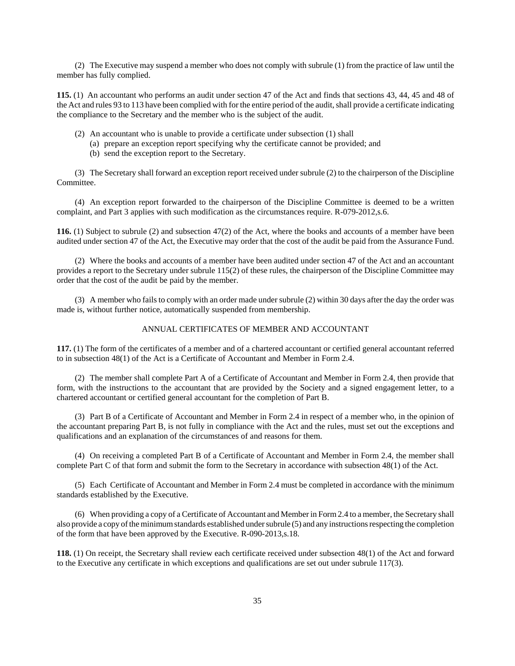(2) The Executive may suspend a member who does not comply with subrule (1) from the practice of law until the member has fully complied.

**115.** (1) An accountant who performs an audit under section 47 of the Act and finds that sections 43, 44, 45 and 48 of the Act and rules 93 to 113 have been complied with for the entire period of the audit, shall provide a certificate indicating the compliance to the Secretary and the member who is the subject of the audit.

- (2) An accountant who is unable to provide a certificate under subsection (1) shall
	- (a) prepare an exception report specifying why the certificate cannot be provided; and
	- (b) send the exception report to the Secretary.

(3) The Secretary shall forward an exception report received under subrule (2) to the chairperson of the Discipline Committee.

(4) An exception report forwarded to the chairperson of the Discipline Committee is deemed to be a written complaint, and Part 3 applies with such modification as the circumstances require. R-079-2012,s.6.

**116.** (1) Subject to subrule (2) and subsection 47(2) of the Act, where the books and accounts of a member have been audited under section 47 of the Act, the Executive may order that the cost of the audit be paid from the Assurance Fund.

(2) Where the books and accounts of a member have been audited under section 47 of the Act and an accountant provides a report to the Secretary under subrule 115(2) of these rules, the chairperson of the Discipline Committee may order that the cost of the audit be paid by the member.

(3) A member who fails to comply with an order made under subrule (2) within 30 days after the day the order was made is, without further notice, automatically suspended from membership.

## ANNUAL CERTIFICATES OF MEMBER AND ACCOUNTANT

**117.** (1) The form of the certificates of a member and of a chartered accountant or certified general accountant referred to in subsection 48(1) of the Act is a Certificate of Accountant and Member in Form 2.4.

(2) The member shall complete Part A of a Certificate of Accountant and Member in Form 2.4, then provide that form, with the instructions to the accountant that are provided by the Society and a signed engagement letter, to a chartered accountant or certified general accountant for the completion of Part B.

(3) Part B of a Certificate of Accountant and Member in Form 2.4 in respect of a member who, in the opinion of the accountant preparing Part B, is not fully in compliance with the Act and the rules, must set out the exceptions and qualifications and an explanation of the circumstances of and reasons for them.

(4) On receiving a completed Part B of a Certificate of Accountant and Member in Form 2.4, the member shall complete Part C of that form and submit the form to the Secretary in accordance with subsection 48(1) of the Act.

(5) Each Certificate of Accountant and Member in Form 2.4 must be completed in accordance with the minimum standards established by the Executive.

(6) When providing a copy of a Certificate of Accountant and Member in Form 2.4 to a member, the Secretary shall also provide a copy of the minimum standards established under subrule (5) and any instructions respecting the completion of the form that have been approved by the Executive. R-090-2013,s.18.

**118.** (1) On receipt, the Secretary shall review each certificate received under subsection 48(1) of the Act and forward to the Executive any certificate in which exceptions and qualifications are set out under subrule 117(3).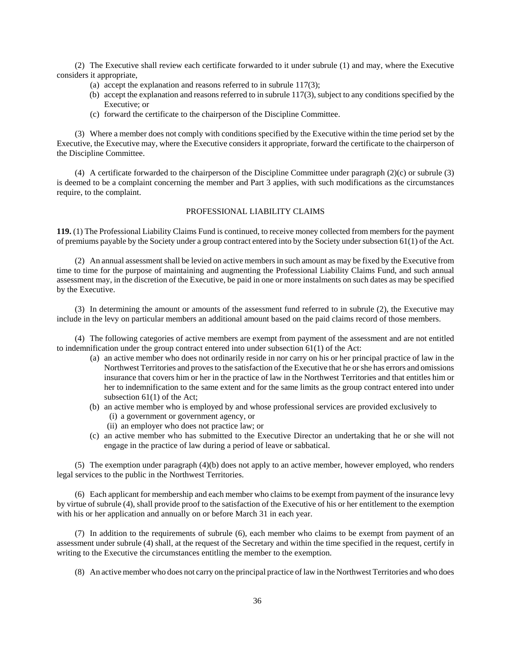(2) The Executive shall review each certificate forwarded to it under subrule (1) and may, where the Executive considers it appropriate,

- (a) accept the explanation and reasons referred to in subrule 117(3);
- (b) accept the explanation and reasons referred to in subrule 117(3), subject to any conditions specified by the Executive; or
- (c) forward the certificate to the chairperson of the Discipline Committee.

(3) Where a member does not comply with conditions specified by the Executive within the time period set by the Executive, the Executive may, where the Executive considers it appropriate, forward the certificate to the chairperson of the Discipline Committee.

(4) A certificate forwarded to the chairperson of the Discipline Committee under paragraph (2)(c) or subrule (3) is deemed to be a complaint concerning the member and Part 3 applies, with such modifications as the circumstances require, to the complaint.

#### PROFESSIONAL LIABILITY CLAIMS

**119.** (1) The Professional Liability Claims Fund is continued, to receive money collected from members for the payment of premiums payable by the Society under a group contract entered into by the Society under subsection 61(1) of the Act.

(2) An annual assessment shall be levied on active members in such amount as may be fixed by the Executive from time to time for the purpose of maintaining and augmenting the Professional Liability Claims Fund, and such annual assessment may, in the discretion of the Executive, be paid in one or more instalments on such dates as may be specified by the Executive.

(3) In determining the amount or amounts of the assessment fund referred to in subrule (2), the Executive may include in the levy on particular members an additional amount based on the paid claims record of those members.

(4) The following categories of active members are exempt from payment of the assessment and are not entitled to indemnification under the group contract entered into under subsection 61(1) of the Act:

- (a) an active member who does not ordinarily reside in nor carry on his or her principal practice of law in the Northwest Territories and proves to the satisfaction of the Executive that he or she has errors and omissions insurance that covers him or her in the practice of law in the Northwest Territories and that entitles him or her to indemnification to the same extent and for the same limits as the group contract entered into under subsection 61(1) of the Act;
- (b) an active member who is employed by and whose professional services are provided exclusively to
	- (i) a government or government agency, or
	- (ii) an employer who does not practice law; or
- (c) an active member who has submitted to the Executive Director an undertaking that he or she will not engage in the practice of law during a period of leave or sabbatical.

(5) The exemption under paragraph (4)(b) does not apply to an active member, however employed, who renders legal services to the public in the Northwest Territories.

(6) Each applicant for membership and each member who claims to be exempt from payment of the insurance levy by virtue of subrule (4), shall provide proof to the satisfaction of the Executive of his or her entitlement to the exemption with his or her application and annually on or before March 31 in each year.

(7) In addition to the requirements of subrule (6), each member who claims to be exempt from payment of an assessment under subrule (4) shall, at the request of the Secretary and within the time specified in the request, certify in writing to the Executive the circumstances entitling the member to the exemption.

(8) An active member who does not carry on the principal practice of law in the Northwest Territories and who does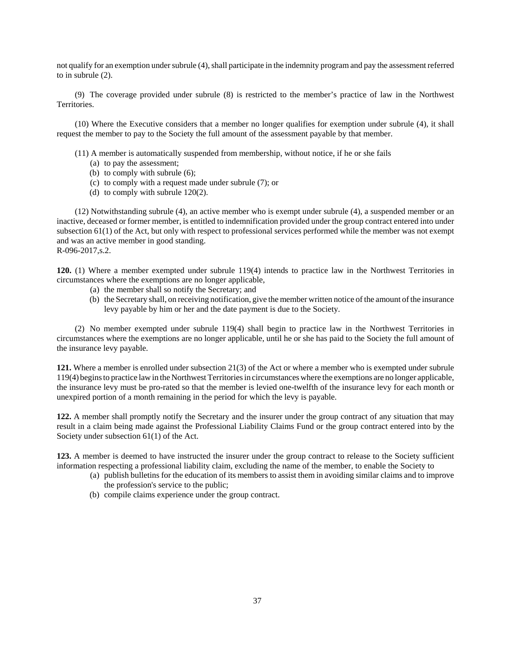not qualify for an exemption under subrule (4), shall participate in the indemnity program and pay the assessment referred to in subrule (2).

(9) The coverage provided under subrule (8) is restricted to the member's practice of law in the Northwest Territories.

(10) Where the Executive considers that a member no longer qualifies for exemption under subrule (4), it shall request the member to pay to the Society the full amount of the assessment payable by that member.

- (11) A member is automatically suspended from membership, without notice, if he or she fails
	- (a) to pay the assessment;
	- (b) to comply with subrule (6);
	- (c) to comply with a request made under subrule (7); or
	- (d) to comply with subrule 120(2).

(12) Notwithstanding subrule (4), an active member who is exempt under subrule (4), a suspended member or an inactive, deceased or former member, is entitled to indemnification provided under the group contract entered into under subsection 61(1) of the Act, but only with respect to professional services performed while the member was not exempt and was an active member in good standing. R-096-2017,s.2.

**120.** (1) Where a member exempted under subrule 119(4) intends to practice law in the Northwest Territories in circumstances where the exemptions are no longer applicable,

- (a) the member shall so notify the Secretary; and
- (b) the Secretary shall, on receiving notification, give the member written notice of the amount of the insurance levy payable by him or her and the date payment is due to the Society.

(2) No member exempted under subrule 119(4) shall begin to practice law in the Northwest Territories in circumstances where the exemptions are no longer applicable, until he or she has paid to the Society the full amount of the insurance levy payable.

**121.** Where a member is enrolled under subsection 21(3) of the Act or where a member who is exempted under subrule 119(4) begins to practice law in the Northwest Territories in circumstances where the exemptions are no longer applicable, the insurance levy must be pro-rated so that the member is levied one-twelfth of the insurance levy for each month or unexpired portion of a month remaining in the period for which the levy is payable.

**122.** A member shall promptly notify the Secretary and the insurer under the group contract of any situation that may result in a claim being made against the Professional Liability Claims Fund or the group contract entered into by the Society under subsection 61(1) of the Act.

**123.** A member is deemed to have instructed the insurer under the group contract to release to the Society sufficient information respecting a professional liability claim, excluding the name of the member, to enable the Society to

- (a) publish bulletins for the education of its members to assist them in avoiding similar claims and to improve the profession's service to the public;
- (b) compile claims experience under the group contract.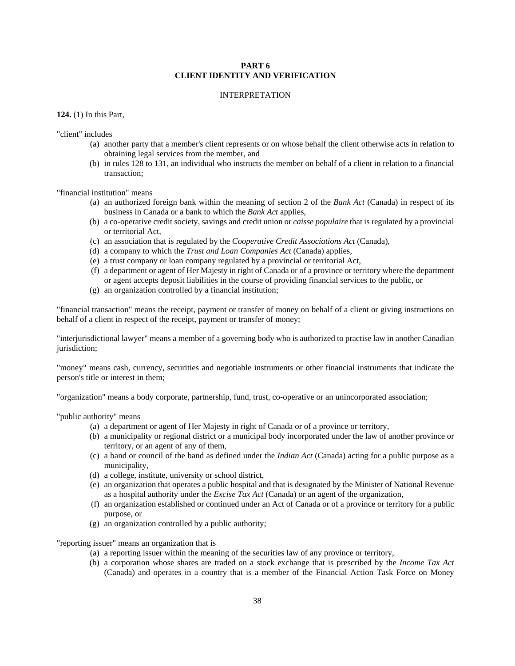## **PART 6 CLIENT IDENTITY AND VERIFICATION**

#### INTERPRETATION

#### **124.** (1) In this Part,

"client" includes

- (a) another party that a member's client represents or on whose behalf the client otherwise acts in relation to obtaining legal services from the member, and
- (b) in rules 128 to 131, an individual who instructs the member on behalf of a client in relation to a financial transaction;

"financial institution" means

- (a) an authorized foreign bank within the meaning of section 2 of the *Bank Act* (Canada) in respect of its business in Canada or a bank to which the *Bank Act* applies,
- (b) a co-operative credit society, savings and credit union or *caisse populaire* that is regulated by a provincial or territorial Act,
- (c) an association that is regulated by the *Cooperative Credit Associations Act* (Canada),
- (d) a company to which the *Trust and Loan Companies Act* (Canada) applies,
- (e) a trust company or loan company regulated by a provincial or territorial Act,
- (f) a department or agent of Her Majesty in right of Canada or of a province or territory where the department or agent accepts deposit liabilities in the course of providing financial services to the public, or
- (g) an organization controlled by a financial institution;

"financial transaction" means the receipt, payment or transfer of money on behalf of a client or giving instructions on behalf of a client in respect of the receipt, payment or transfer of money;

"interjurisdictional lawyer" means a member of a governing body who is authorized to practise law in another Canadian jurisdiction:

"money" means cash, currency, securities and negotiable instruments or other financial instruments that indicate the person's title or interest in them;

"organization" means a body corporate, partnership, fund, trust, co-operative or an unincorporated association;

"public authority" means

- (a) a department or agent of Her Majesty in right of Canada or of a province or territory,
- (b) a municipality or regional district or a municipal body incorporated under the law of another province or territory, or an agent of any of them,
- (c) a band or council of the band as defined under the *Indian Act* (Canada) acting for a public purpose as a municipality,
- (d) a college, institute, university or school district,
- (e) an organization that operates a public hospital and that is designated by the Minister of National Revenue as a hospital authority under the *Excise Tax Act* (Canada) or an agent of the organization,
- (f) an organization established or continued under an Act of Canada or of a province or territory for a public purpose, or
- (g) an organization controlled by a public authority;

"reporting issuer" means an organization that is

- (a) a reporting issuer within the meaning of the securities law of any province or territory,
- (b) a corporation whose shares are traded on a stock exchange that is prescribed by the *Income Tax Act* (Canada) and operates in a country that is a member of the Financial Action Task Force on Money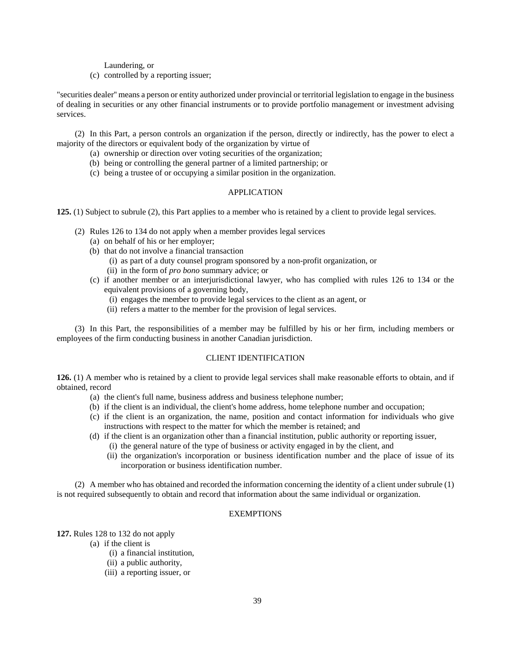Laundering, or

(c) controlled by a reporting issuer;

"securities dealer'' means a person or entity authorized under provincial or territorial legislation to engage in the business of dealing in securities or any other financial instruments or to provide portfolio management or investment advising services.

(2) In this Part, a person controls an organization if the person, directly or indirectly, has the power to elect a majority of the directors or equivalent body of the organization by virtue of

- (a) ownership or direction over voting securities of the organization;
- (b) being or controlling the general partner of a limited partnership; or
- (c) being a trustee of or occupying a similar position in the organization.

#### APPLICATION

**125.** (1) Subject to subrule (2), this Part applies to a member who is retained by a client to provide legal services.

- (2) Rules 126 to 134 do not apply when a member provides legal services
	- (a) on behalf of his or her employer;
	- (b) that do not involve a financial transaction
		- (i) as part of a duty counsel program sponsored by a non-profit organization, or
		- (ii) in the form of *pro bono* summary advice; or
	- (c) if another member or an interjurisdictional lawyer, who has complied with rules 126 to 134 or the equivalent provisions of a governing body,
		- (i) engages the member to provide legal services to the client as an agent, or
		- (ii) refers a matter to the member for the provision of legal services.

(3) In this Part, the responsibilities of a member may be fulfilled by his or her firm, including members or employees of the firm conducting business in another Canadian jurisdiction.

### CLIENT IDENTIFICATION

**126.** (1) A member who is retained by a client to provide legal services shall make reasonable efforts to obtain, and if obtained, record

- (a) the client's full name, business address and business telephone number;
- (b) if the client is an individual, the client's home address, home telephone number and occupation;
- (c) if the client is an organization, the name, position and contact information for individuals who give instructions with respect to the matter for which the member is retained; and
- (d) if the client is an organization other than a financial institution, public authority or reporting issuer,
	- (i) the general nature of the type of business or activity engaged in by the client, and
	- (ii) the organization's incorporation or business identification number and the place of issue of its incorporation or business identification number.

(2) A member who has obtained and recorded the information concerning the identity of a client under subrule (1) is not required subsequently to obtain and record that information about the same individual or organization.

## **EXEMPTIONS**

**127.** Rules 128 to 132 do not apply

(a) if the client is

- (i) a financial institution,
- (ii) a public authority,
- (iii) a reporting issuer, or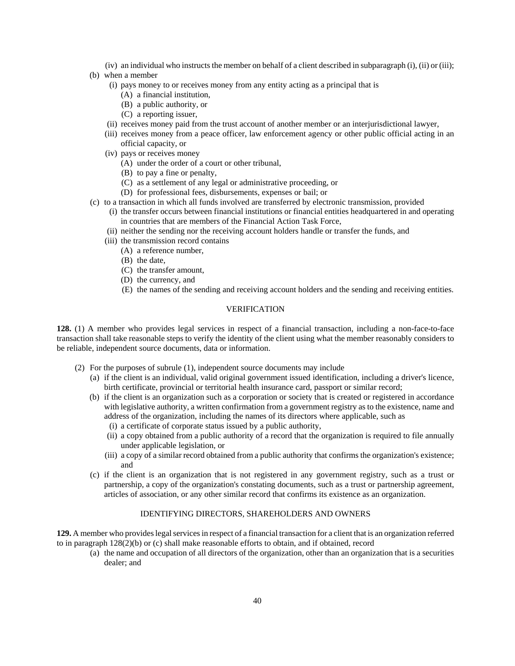- (iv) an individual who instructs the member on behalf of a client described in subparagraph (i), (ii) or (iii);
- (b) when a member
	- (i) pays money to or receives money from any entity acting as a principal that is
		- (A) a financial institution,
		- (B) a public authority, or
		- (C) a reporting issuer,
	- (ii) receives money paid from the trust account of another member or an interjurisdictional lawyer,
	- (iii) receives money from a peace officer, law enforcement agency or other public official acting in an official capacity, or
	- (iv) pays or receives money
		- (A) under the order of a court or other tribunal,
		- (B) to pay a fine or penalty,
		- (C) as a settlement of any legal or administrative proceeding, or
		- (D) for professional fees, disbursements, expenses or bail; or
- (c) to a transaction in which all funds involved are transferred by electronic transmission, provided
	- (i) the transfer occurs between financial institutions or financial entities headquartered in and operating in countries that are members of the Financial Action Task Force,
	- (ii) neither the sending nor the receiving account holders handle or transfer the funds, and
	- (iii) the transmission record contains
		- (A) a reference number,
		- (B) the date,
		- (C) the transfer amount,
		- (D) the currency, and
		- (E) the names of the sending and receiving account holders and the sending and receiving entities.

### VERIFICATION

**128.** (1) A member who provides legal services in respect of a financial transaction, including a non-face-to-face transaction shall take reasonable steps to verify the identity of the client using what the member reasonably considers to be reliable, independent source documents, data or information.

- (2) For the purposes of subrule (1), independent source documents may include
	- (a) if the client is an individual, valid original government issued identification, including a driver's licence, birth certificate, provincial or territorial health insurance card, passport or similar record;
	- (b) if the client is an organization such as a corporation or society that is created or registered in accordance with legislative authority, a written confirmation from a government registry as to the existence, name and address of the organization, including the names of its directors where applicable, such as
		- (i) a certificate of corporate status issued by a public authority,
		- (ii) a copy obtained from a public authority of a record that the organization is required to file annually under applicable legislation, or
		- (iii) a copy of a similar record obtained from a public authority that confirms the organization's existence; and
	- (c) if the client is an organization that is not registered in any government registry, such as a trust or partnership, a copy of the organization's constating documents, such as a trust or partnership agreement, articles of association, or any other similar record that confirms its existence as an organization.

## IDENTIFYING DIRECTORS, SHAREHOLDERS AND OWNERS

**129.** A member who provides legal services in respect of a financial transaction for a client that is an organization referred to in paragraph 128(2)(b) or (c) shall make reasonable efforts to obtain, and if obtained, record

(a) the name and occupation of all directors of the organization, other than an organization that is a securities dealer; and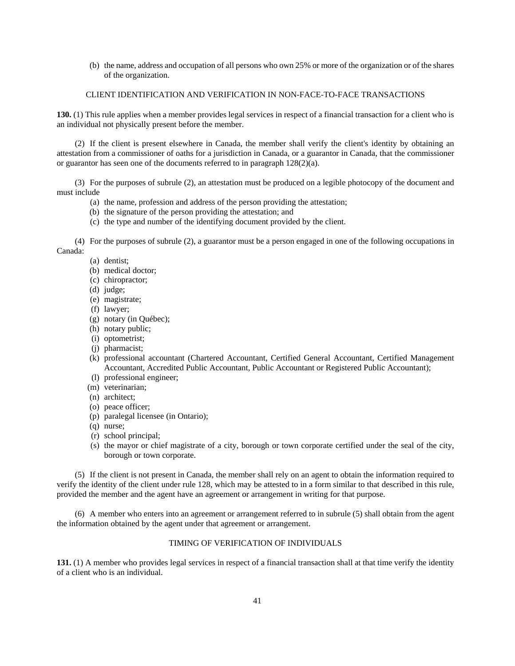(b) the name, address and occupation of all persons who own 25% or more of the organization or of the shares of the organization.

#### CLIENT IDENTIFICATION AND VERIFICATION IN NON-FACE-TO-FACE TRANSACTIONS

**130.** (1) This rule applies when a member provides legal services in respect of a financial transaction for a client who is an individual not physically present before the member.

(2) If the client is present elsewhere in Canada, the member shall verify the client's identity by obtaining an attestation from a commissioner of oaths for a jurisdiction in Canada, or a guarantor in Canada, that the commissioner or guarantor has seen one of the documents referred to in paragraph 128(2)(a).

(3) For the purposes of subrule (2), an attestation must be produced on a legible photocopy of the document and must include

- (a) the name, profession and address of the person providing the attestation;
- (b) the signature of the person providing the attestation; and
- (c) the type and number of the identifying document provided by the client.

(4) For the purposes of subrule (2), a guarantor must be a person engaged in one of the following occupations in Canada:

(a) dentist;

- (b) medical doctor;
- (c) chiropractor;
- (d) judge;
- (e) magistrate;
- (f) lawyer;
- (g) notary (in Québec);
- (h) notary public;
- (i) optometrist;
- (j) pharmacist;
- (k) professional accountant (Chartered Accountant, Certified General Accountant, Certified Management Accountant, Accredited Public Accountant, Public Accountant or Registered Public Accountant);
- (l) professional engineer;
- (m) veterinarian;
- (n) architect;
- (o) peace officer;
- (p) paralegal licensee (in Ontario);
- (q) nurse;
- (r) school principal;
- (s) the mayor or chief magistrate of a city, borough or town corporate certified under the seal of the city, borough or town corporate.

(5) If the client is not present in Canada, the member shall rely on an agent to obtain the information required to verify the identity of the client under rule 128, which may be attested to in a form similar to that described in this rule, provided the member and the agent have an agreement or arrangement in writing for that purpose.

(6) A member who enters into an agreement or arrangement referred to in subrule (5) shall obtain from the agent the information obtained by the agent under that agreement or arrangement.

## TIMING OF VERIFICATION OF INDIVIDUALS

**131.** (1) A member who provides legal services in respect of a financial transaction shall at that time verify the identity of a client who is an individual.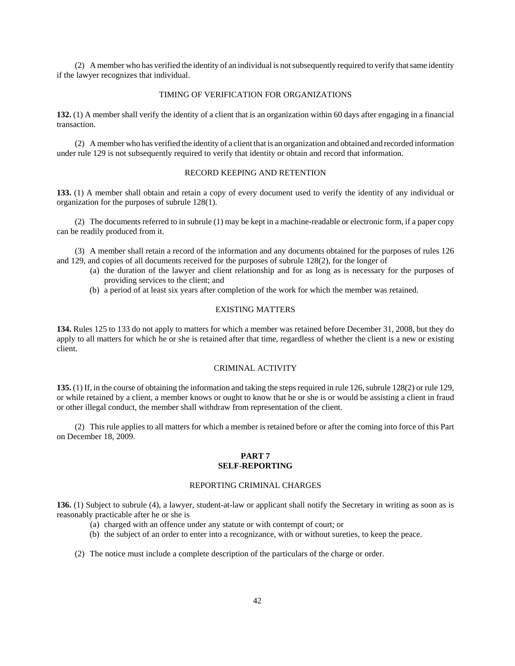(2) A member who has verified the identity of an individual is not subsequently required to verify that same identity if the lawyer recognizes that individual.

#### TIMING OF VERIFICATION FOR ORGANIZATIONS

**132.** (1) A member shall verify the identity of a client that is an organization within 60 days after engaging in a financial transaction.

(2) A member who has verified the identity of a client that is an organization and obtained and recorded information under rule 129 is not subsequently required to verify that identity or obtain and record that information.

#### RECORD KEEPING AND RETENTION

**133.** (1) A member shall obtain and retain a copy of every document used to verify the identity of any individual or organization for the purposes of subrule 128(1).

(2) The documents referred to in subrule (1) may be kept in a machine-readable or electronic form, if a paper copy can be readily produced from it.

(3) A member shall retain a record of the information and any documents obtained for the purposes of rules 126 and 129, and copies of all documents received for the purposes of subrule 128(2), for the longer of

- (a) the duration of the lawyer and client relationship and for as long as is necessary for the purposes of providing services to the client; and
- (b) a period of at least six years after completion of the work for which the member was retained.

## EXISTING MATTERS

**134.** Rules 125 to 133 do not apply to matters for which a member was retained before December 31, 2008, but they do apply to all matters for which he or she is retained after that time, regardless of whether the client is a new or existing client.

#### CRIMINAL ACTIVITY

**135.** (1) If, in the course of obtaining the information and taking the steps required in rule 126, subrule 128(2) or rule 129, or while retained by a client, a member knows or ought to know that he or she is or would be assisting a client in fraud or other illegal conduct, the member shall withdraw from representation of the client.

(2) This rule applies to all matters for which a member is retained before or after the coming into force of this Part on December 18, 2009.

#### **PART 7 SELF-REPORTING**

## REPORTING CRIMINAL CHARGES

**136.** (1) Subject to subrule (4), a lawyer, student-at-law or applicant shall notify the Secretary in writing as soon as is reasonably practicable after he or she is

- (a) charged with an offence under any statute or with contempt of court; or
- (b) the subject of an order to enter into a recognizance, with or without sureties, to keep the peace.
- (2) The notice must include a complete description of the particulars of the charge or order.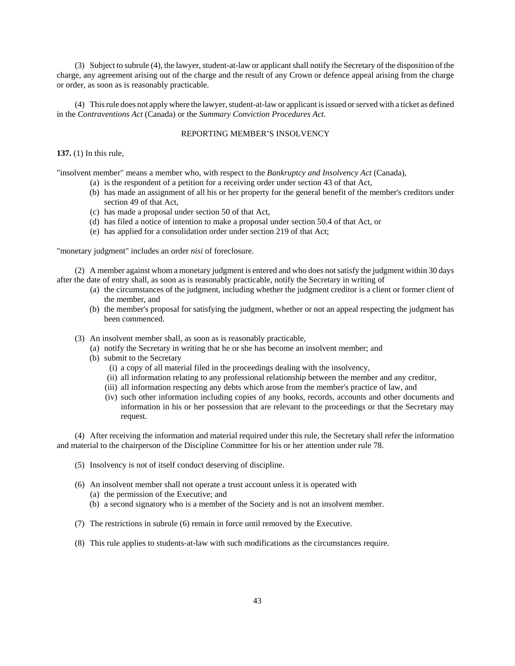(3) Subject to subrule (4), the lawyer, student-at-law or applicant shall notify the Secretary of the disposition of the charge, any agreement arising out of the charge and the result of any Crown or defence appeal arising from the charge or order, as soon as is reasonably practicable.

(4) This rule does not apply where the lawyer, student-at-law or applicant is issued or served with a ticket as defined in the *Contraventions Act* (Canada) or the *Summary Conviction Procedures Act*.

## REPORTING MEMBER'S INSOLVENCY

**137.** (1) In this rule,

"insolvent member" means a member who, with respect to the *Bankruptcy and Insolvency Act* (Canada),

- (a) is the respondent of a petition for a receiving order under section 43 of that Act,
- (b) has made an assignment of all his or her property for the general benefit of the member's creditors under section 49 of that Act,
- (c) has made a proposal under section 50 of that Act,
- (d) has filed a notice of intention to make a proposal under section 50.4 of that Act, or
- (e) has applied for a consolidation order under section 219 of that Act;

"monetary judgment" includes an order *nisi* of foreclosure.

(2) A member against whom a monetary judgment is entered and who does not satisfy the judgment within 30 days after the date of entry shall, as soon as is reasonably practicable, notify the Secretary in writing of

- (a) the circumstances of the judgment, including whether the judgment creditor is a client or former client of the member, and
- (b) the member's proposal for satisfying the judgment, whether or not an appeal respecting the judgment has been commenced.
- (3) An insolvent member shall, as soon as is reasonably practicable,
	- (a) notify the Secretary in writing that he or she has become an insolvent member; and
	- (b) submit to the Secretary
		- (i) a copy of all material filed in the proceedings dealing with the insolvency,
		- (ii) all information relating to any professional relationship between the member and any creditor,
		- (iii) all information respecting any debts which arose from the member's practice of law, and
		- (iv) such other information including copies of any books, records, accounts and other documents and information in his or her possession that are relevant to the proceedings or that the Secretary may request.

(4) After receiving the information and material required under this rule, the Secretary shall refer the information and material to the chairperson of the Discipline Committee for his or her attention under rule 78.

- (5) Insolvency is not of itself conduct deserving of discipline.
- (6) An insolvent member shall not operate a trust account unless it is operated with (a) the permission of the Executive; and
	- (b) a second signatory who is a member of the Society and is not an insolvent member.
- (7) The restrictions in subrule (6) remain in force until removed by the Executive.
- (8) This rule applies to students-at-law with such modifications as the circumstances require.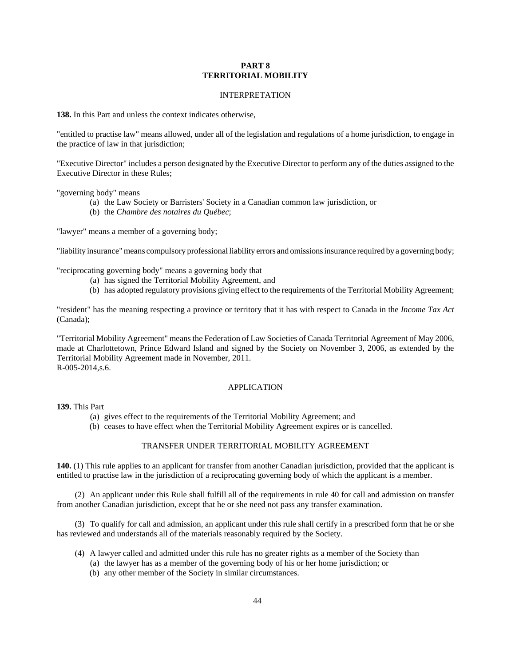### **PART 8 TERRITORIAL MOBILITY**

#### INTERPRETATION

**138.** In this Part and unless the context indicates otherwise,

"entitled to practise law" means allowed, under all of the legislation and regulations of a home jurisdiction, to engage in the practice of law in that jurisdiction;

"Executive Director" includes a person designated by the Executive Director to perform any of the duties assigned to the Executive Director in these Rules;

"governing body" means

- (a) the Law Society or Barristers' Society in a Canadian common law jurisdiction, or
- (b) the *Chambre des notaires du Québec*;

"lawyer" means a member of a governing body;

"liability insurance" means compulsory professional liability errors and omissions insurance required by a governing body;

"reciprocating governing body" means a governing body that

- (a) has signed the Territorial Mobility Agreement, and
- (b) has adopted regulatory provisions giving effect to the requirements of the Territorial Mobility Agreement;

"resident" has the meaning respecting a province or territory that it has with respect to Canada in the *Income Tax Act* (Canada);

"Territorial Mobility Agreement" means the Federation of Law Societies of Canada Territorial Agreement of May 2006, made at Charlottetown, Prince Edward Island and signed by the Society on November 3, 2006, as extended by the Territorial Mobility Agreement made in November, 2011. R-005-2014,s.6.

#### APPLICATION

**139.** This Part

- (a) gives effect to the requirements of the Territorial Mobility Agreement; and
- (b) ceases to have effect when the Territorial Mobility Agreement expires or is cancelled.

## TRANSFER UNDER TERRITORIAL MOBILITY AGREEMENT

**140.** (1) This rule applies to an applicant for transfer from another Canadian jurisdiction, provided that the applicant is entitled to practise law in the jurisdiction of a reciprocating governing body of which the applicant is a member.

(2) An applicant under this Rule shall fulfill all of the requirements in rule 40 for call and admission on transfer from another Canadian jurisdiction, except that he or she need not pass any transfer examination.

(3) To qualify for call and admission, an applicant under this rule shall certify in a prescribed form that he or she has reviewed and understands all of the materials reasonably required by the Society.

- (4) A lawyer called and admitted under this rule has no greater rights as a member of the Society than
	- (a) the lawyer has as a member of the governing body of his or her home jurisdiction; or
	- (b) any other member of the Society in similar circumstances.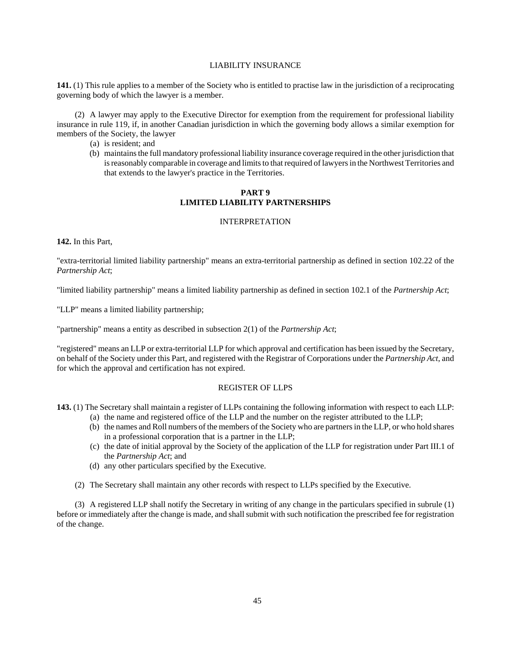## LIABILITY INSURANCE

**141.** (1) This rule applies to a member of the Society who is entitled to practise law in the jurisdiction of a reciprocating governing body of which the lawyer is a member.

(2) A lawyer may apply to the Executive Director for exemption from the requirement for professional liability insurance in rule 119, if, in another Canadian jurisdiction in which the governing body allows a similar exemption for members of the Society, the lawyer

- (a) is resident; and
- (b) maintains the full mandatory professional liability insurance coverage required in the other jurisdiction that is reasonably comparable in coverage and limits to that required of lawyers in the Northwest Territories and that extends to the lawyer's practice in the Territories.

## **PART 9 LIMITED LIABILITY PARTNERSHIPS**

## INTERPRETATION

**142.** In this Part,

"extra-territorial limited liability partnership" means an extra-territorial partnership as defined in section 102.22 of the *Partnership Act*;

"limited liability partnership" means a limited liability partnership as defined in section 102.1 of the *Partnership Act*;

"LLP" means a limited liability partnership;

"partnership" means a entity as described in subsection 2(1) of the *Partnership Act*;

"registered" means an LLP or extra-territorial LLP for which approval and certification has been issued by the Secretary, on behalf of the Society under this Part, and registered with the Registrar of Corporations under the *Partnership Act*, and for which the approval and certification has not expired.

### REGISTER OF LLPS

**143.** (1) The Secretary shall maintain a register of LLPs containing the following information with respect to each LLP:

- (a) the name and registered office of the LLP and the number on the register attributed to the LLP;
- (b) the names and Roll numbers of the members of the Society who are partners in the LLP, or who hold shares in a professional corporation that is a partner in the LLP;
- (c) the date of initial approval by the Society of the application of the LLP for registration under Part III.1 of the *Partnership Act*; and
- (d) any other particulars specified by the Executive.

(2) The Secretary shall maintain any other records with respect to LLPs specified by the Executive.

(3) A registered LLP shall notify the Secretary in writing of any change in the particulars specified in subrule (1) before or immediately after the change is made, and shall submit with such notification the prescribed fee for registration of the change.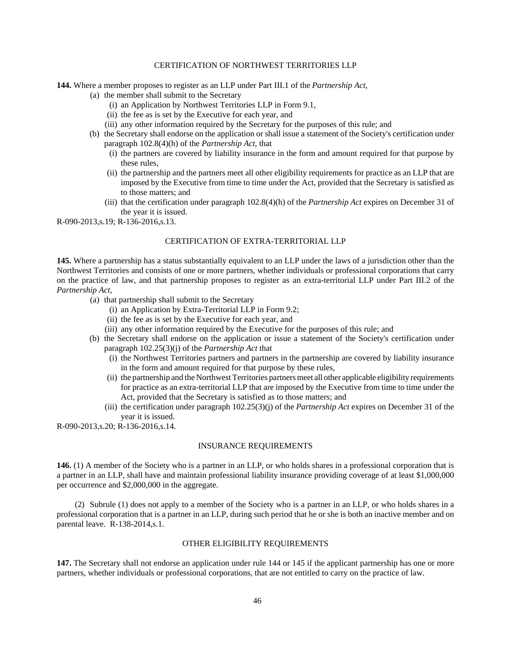## CERTIFICATION OF NORTHWEST TERRITORIES LLP

**144.** Where a member proposes to register as an LLP under Part III.1 of the *Partnership Act*,

- (a) the member shall submit to the Secretary
	- (i) an Application by Northwest Territories LLP in Form 9.1,
	- (ii) the fee as is set by the Executive for each year, and
	- (iii) any other information required by the Secretary for the purposes of this rule; and
- (b) the Secretary shall endorse on the application or shall issue a statement of the Society's certification under paragraph 102.8(4)(h) of the *Partnership Act*, that
	- (i) the partners are covered by liability insurance in the form and amount required for that purpose by these rules,
	- (ii) the partnership and the partners meet all other eligibility requirements for practice as an LLP that are imposed by the Executive from time to time under the Act, provided that the Secretary is satisfied as to those matters; and
	- (iii) that the certification under paragraph 102.8(4)(h) of the *Partnership Act* expires on December 31 of the year it is issued.

R-090-2013,s.19; R-136-2016,s.13.

## CERTIFICATION OF EXTRA-TERRITORIAL LLP

**145.** Where a partnership has a status substantially equivalent to an LLP under the laws of a jurisdiction other than the Northwest Territories and consists of one or more partners, whether individuals or professional corporations that carry on the practice of law, and that partnership proposes to register as an extra-territorial LLP under Part III.2 of the *Partnership Act*,

- (a) that partnership shall submit to the Secretary
	- (i) an Application by Extra-Territorial LLP in Form 9.2;
	- (ii) the fee as is set by the Executive for each year, and
	- (iii) any other information required by the Executive for the purposes of this rule; and
- (b) the Secretary shall endorse on the application or issue a statement of the Society's certification under paragraph 102.25(3)(j) of the *Partnership Act* that
	- (i) the Northwest Territories partners and partners in the partnership are covered by liability insurance in the form and amount required for that purpose by these rules,
	- (ii) the partnership and the Northwest Territories partners meet all other applicable eligibility requirements for practice as an extra-territorial LLP that are imposed by the Executive from time to time under the Act, provided that the Secretary is satisfied as to those matters; and
	- (iii) the certification under paragraph 102.25(3)(j) of the *Partnership Act* expires on December 31 of the year it is issued.

R-090-2013,s.20; R-136-2016,s.14.

#### INSURANCE REQUIREMENTS

**146.** (1) A member of the Society who is a partner in an LLP, or who holds shares in a professional corporation that is a partner in an LLP, shall have and maintain professional liability insurance providing coverage of at least \$1,000,000 per occurrence and \$2,000,000 in the aggregate.

(2) Subrule (1) does not apply to a member of the Society who is a partner in an LLP, or who holds shares in a professional corporation that is a partner in an LLP, during such period that he or she is both an inactive member and on parental leave. R-138-2014,s.1.

## OTHER ELIGIBILITY REQUIREMENTS

**147.** The Secretary shall not endorse an application under rule 144 or 145 if the applicant partnership has one or more partners, whether individuals or professional corporations, that are not entitled to carry on the practice of law.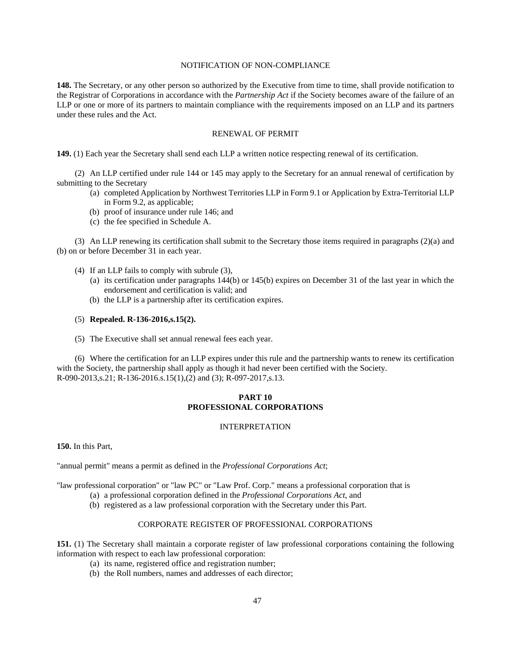## NOTIFICATION OF NON-COMPLIANCE

**148.** The Secretary, or any other person so authorized by the Executive from time to time, shall provide notification to the Registrar of Corporations in accordance with the *Partnership Act* if the Society becomes aware of the failure of an LLP or one or more of its partners to maintain compliance with the requirements imposed on an LLP and its partners under these rules and the Act.

## RENEWAL OF PERMIT

**149.** (1) Each year the Secretary shall send each LLP a written notice respecting renewal of its certification.

(2) An LLP certified under rule 144 or 145 may apply to the Secretary for an annual renewal of certification by submitting to the Secretary

- (a) completed Application by Northwest Territories LLP in Form 9.1 or Application by Extra-Territorial LLP in Form 9.2, as applicable;
- (b) proof of insurance under rule 146; and
- (c) the fee specified in Schedule A.

(3) An LLP renewing its certification shall submit to the Secretary those items required in paragraphs (2)(a) and (b) on or before December 31 in each year.

- (4) If an LLP fails to comply with subrule (3),
	- (a) its certification under paragraphs 144(b) or 145(b) expires on December 31 of the last year in which the endorsement and certification is valid; and
	- (b) the LLP is a partnership after its certification expires.
- (5) **Repealed. R-136-2016,s.15(2).**
- (5) The Executive shall set annual renewal fees each year.

(6) Where the certification for an LLP expires under this rule and the partnership wants to renew its certification with the Society, the partnership shall apply as though it had never been certified with the Society. R-090-2013,s.21; R-136-2016.s.15(1),(2) and (3); R-097-2017,s.13.

## **PART 10 PROFESSIONAL CORPORATIONS**

## INTERPRETATION

**150.** In this Part,

"annual permit" means a permit as defined in the *Professional Corporations Act*;

"law professional corporation" or "law PC" or "Law Prof. Corp." means a professional corporation that is

(a) a professional corporation defined in the *Professional Corporations Act*, and

(b) registered as a law professional corporation with the Secretary under this Part.

### CORPORATE REGISTER OF PROFESSIONAL CORPORATIONS

**151.** (1) The Secretary shall maintain a corporate register of law professional corporations containing the following information with respect to each law professional corporation:

- (a) its name, registered office and registration number;
- (b) the Roll numbers, names and addresses of each director;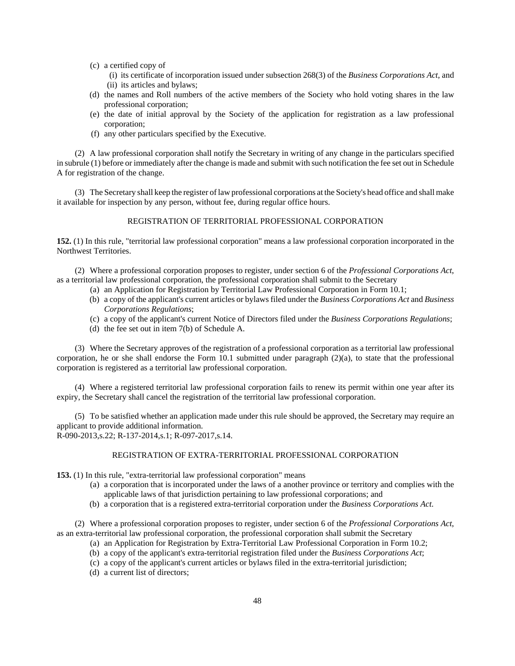- (c) a certified copy of
	- (i) its certificate of incorporation issued under subsection 268(3) of the *Business Corporations Act*, and (ii) its articles and bylaws;
- (d) the names and Roll numbers of the active members of the Society who hold voting shares in the law professional corporation;
- (e) the date of initial approval by the Society of the application for registration as a law professional corporation;
- (f) any other particulars specified by the Executive.

(2) A law professional corporation shall notify the Secretary in writing of any change in the particulars specified in subrule (1) before or immediately after the change is made and submit with such notification the fee set out in Schedule A for registration of the change.

(3) The Secretary shall keep the register of law professional corporations at the Society's head office and shall make it available for inspection by any person, without fee, during regular office hours.

## REGISTRATION OF TERRITORIAL PROFESSIONAL CORPORATION

**152.** (1) In this rule, "territorial law professional corporation" means a law professional corporation incorporated in the Northwest Territories.

(2) Where a professional corporation proposes to register, under section 6 of the *Professional Corporations Act*, as a territorial law professional corporation, the professional corporation shall submit to the Secretary

- (a) an Application for Registration by Territorial Law Professional Corporation in Form 10.1;
- (b) a copy of the applicant's current articles or bylaws filed under the *Business Corporations Act* and *Business Corporations Regulations*;
- (c) a copy of the applicant's current Notice of Directors filed under the *Business Corporations Regulations*;
- (d) the fee set out in item 7(b) of Schedule A.

(3) Where the Secretary approves of the registration of a professional corporation as a territorial law professional corporation, he or she shall endorse the Form 10.1 submitted under paragraph  $(2)(a)$ , to state that the professional corporation is registered as a territorial law professional corporation.

(4) Where a registered territorial law professional corporation fails to renew its permit within one year after its expiry, the Secretary shall cancel the registration of the territorial law professional corporation.

(5) To be satisfied whether an application made under this rule should be approved, the Secretary may require an applicant to provide additional information. R-090-2013,s.22; R-137-2014,s.1; R-097-2017,s.14.

#### REGISTRATION OF EXTRA-TERRITORIAL PROFESSIONAL CORPORATION

**153.** (1) In this rule, "extra-territorial law professional corporation" means

- (a) a corporation that is incorporated under the laws of a another province or territory and complies with the applicable laws of that jurisdiction pertaining to law professional corporations; and
- (b) a corporation that is a registered extra-territorial corporation under the *Business Corporations Act*.

(2) Where a professional corporation proposes to register, under section 6 of the *Professional Corporations Act*, as an extra-territorial law professional corporation, the professional corporation shall submit the Secretary

- (a) an Application for Registration by Extra-Territorial Law Professional Corporation in Form 10.2;
- (b) a copy of the applicant's extra-territorial registration filed under the *Business Corporations Act*;
- (c) a copy of the applicant's current articles or bylaws filed in the extra-territorial jurisdiction;
- (d) a current list of directors;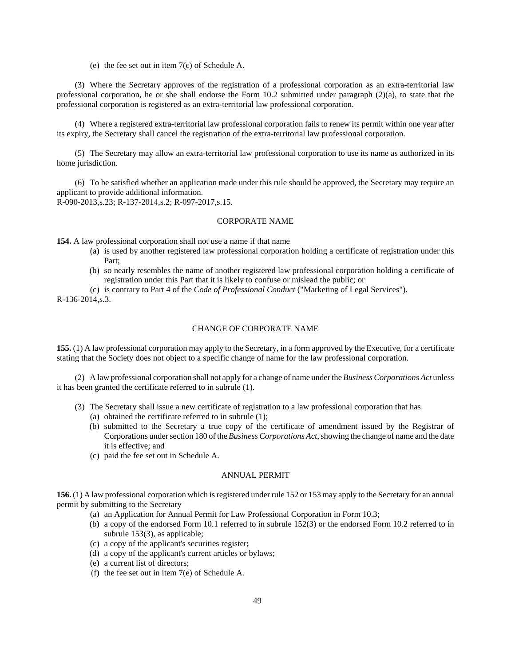(e) the fee set out in item 7(c) of Schedule A.

(3) Where the Secretary approves of the registration of a professional corporation as an extra-territorial law professional corporation, he or she shall endorse the Form 10.2 submitted under paragraph (2)(a), to state that the professional corporation is registered as an extra-territorial law professional corporation.

(4) Where a registered extra-territorial law professional corporation fails to renew its permit within one year after its expiry, the Secretary shall cancel the registration of the extra-territorial law professional corporation.

(5) The Secretary may allow an extra-territorial law professional corporation to use its name as authorized in its home jurisdiction.

(6) To be satisfied whether an application made under this rule should be approved, the Secretary may require an applicant to provide additional information. R-090-2013,s.23; R-137-2014,s.2; R-097-2017,s.15.

## CORPORATE NAME

**154.** A law professional corporation shall not use a name if that name

- (a) is used by another registered law professional corporation holding a certificate of registration under this Part;
- (b) so nearly resembles the name of another registered law professional corporation holding a certificate of registration under this Part that it is likely to confuse or mislead the public; or

(c) is contrary to Part 4 of the *Code of Professional Conduct* ("Marketing of Legal Services").

R-136-2014,s.3.

## CHANGE OF CORPORATE NAME

**155.** (1) A law professional corporation may apply to the Secretary, in a form approved by the Executive, for a certificate stating that the Society does not object to a specific change of name for the law professional corporation.

(2) A law professional corporation shall not apply for a change of name under the *Business Corporations Act* unless it has been granted the certificate referred to in subrule (1).

- (3) The Secretary shall issue a new certificate of registration to a law professional corporation that has
	- (a) obtained the certificate referred to in subrule (1);
	- (b) submitted to the Secretary a true copy of the certificate of amendment issued by the Registrar of Corporations under section 180 of the *Business Corporations Act*, showing the change of name and the date it is effective; and
	- (c) paid the fee set out in Schedule A.

#### ANNUAL PERMIT

**156.** (1) A law professional corporation which is registered under rule 152 or 153 may apply to the Secretary for an annual permit by submitting to the Secretary

- (a) an Application for Annual Permit for Law Professional Corporation in Form 10.3;
- (b) a copy of the endorsed Form 10.1 referred to in subrule 152(3) or the endorsed Form 10.2 referred to in subrule 153(3), as applicable;
- (c) a copy of the applicant's securities register**;**
- (d) a copy of the applicant's current articles or bylaws;
- (e) a current list of directors;
- (f) the fee set out in item 7(e) of Schedule A.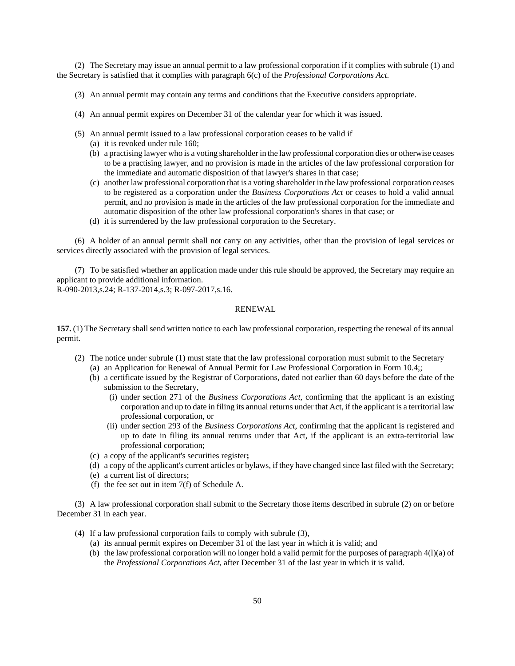(2) The Secretary may issue an annual permit to a law professional corporation if it complies with subrule (1) and the Secretary is satisfied that it complies with paragraph 6(c) of the *Professional Corporations Act*.

- (3) An annual permit may contain any terms and conditions that the Executive considers appropriate.
- (4) An annual permit expires on December 31 of the calendar year for which it was issued.
- (5) An annual permit issued to a law professional corporation ceases to be valid if
	- (a) it is revoked under rule 160;
	- (b) a practising lawyer who is a voting shareholder in the law professional corporation dies or otherwise ceases to be a practising lawyer, and no provision is made in the articles of the law professional corporation for the immediate and automatic disposition of that lawyer's shares in that case;
	- (c) another law professional corporation that is a voting shareholder in the law professional corporation ceases to be registered as a corporation under the *Business Corporations Act* or ceases to hold a valid annual permit, and no provision is made in the articles of the law professional corporation for the immediate and automatic disposition of the other law professional corporation's shares in that case; or
	- (d) it is surrendered by the law professional corporation to the Secretary.

(6) A holder of an annual permit shall not carry on any activities, other than the provision of legal services or services directly associated with the provision of legal services.

(7) To be satisfied whether an application made under this rule should be approved, the Secretary may require an applicant to provide additional information.

R-090-2013,s.24; R-137-2014,s.3; R-097-2017,s.16.

### RENEWAL

**157.** (1) The Secretary shall send written notice to each law professional corporation, respecting the renewal of its annual permit.

- (2) The notice under subrule (1) must state that the law professional corporation must submit to the Secretary
	- (a) an Application for Renewal of Annual Permit for Law Professional Corporation in Form 10.4;;
	- (b) a certificate issued by the Registrar of Corporations, dated not earlier than 60 days before the date of the submission to the Secretary,
		- (i) under section 271 of the *Business Corporations Act*, confirming that the applicant is an existing corporation and up to date in filing its annual returns under that Act, if the applicant is a territorial law professional corporation, or
		- (ii) under section 293 of the *Business Corporations Act*, confirming that the applicant is registered and up to date in filing its annual returns under that Act, if the applicant is an extra-territorial law professional corporation;
	- (c) a copy of the applicant's securities register**;**
	- (d) a copy of the applicant's current articles or bylaws, if they have changed since last filed with the Secretary;
	- (e) a current list of directors;
	- (f) the fee set out in item 7(f) of Schedule A.

(3) A law professional corporation shall submit to the Secretary those items described in subrule (2) on or before December 31 in each year.

- (4) If a law professional corporation fails to comply with subrule (3),
	- (a) its annual permit expires on December 31 of the last year in which it is valid; and
	- (b) the law professional corporation will no longer hold a valid permit for the purposes of paragraph 4(l)(a) of the *Professional Corporations Act*, after December 31 of the last year in which it is valid.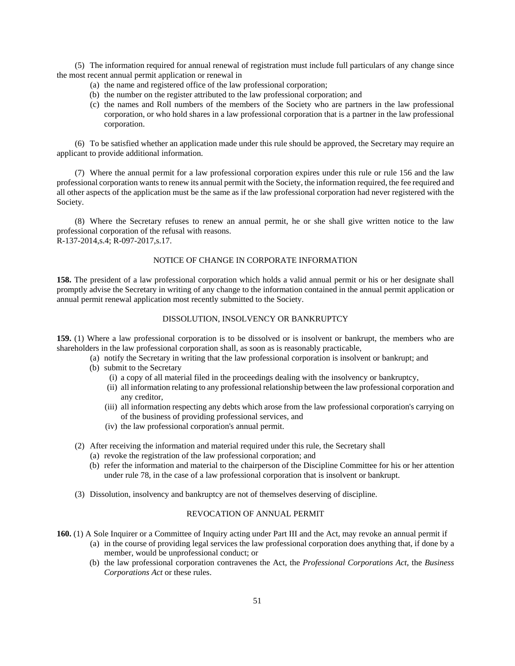(5) The information required for annual renewal of registration must include full particulars of any change since the most recent annual permit application or renewal in

- (a) the name and registered office of the law professional corporation;
- (b) the number on the register attributed to the law professional corporation; and
- (c) the names and Roll numbers of the members of the Society who are partners in the law professional corporation, or who hold shares in a law professional corporation that is a partner in the law professional corporation.

(6) To be satisfied whether an application made under this rule should be approved, the Secretary may require an applicant to provide additional information.

(7) Where the annual permit for a law professional corporation expires under this rule or rule 156 and the law professional corporation wants to renew its annual permit with the Society, the information required, the fee required and all other aspects of the application must be the same as if the law professional corporation had never registered with the Society.

(8) Where the Secretary refuses to renew an annual permit, he or she shall give written notice to the law professional corporation of the refusal with reasons. R-137-2014, s.4; R-097-2017, s.17.

## NOTICE OF CHANGE IN CORPORATE INFORMATION

**158.** The president of a law professional corporation which holds a valid annual permit or his or her designate shall promptly advise the Secretary in writing of any change to the information contained in the annual permit application or annual permit renewal application most recently submitted to the Society.

## DISSOLUTION, INSOLVENCY OR BANKRUPTCY

**159.** (1) Where a law professional corporation is to be dissolved or is insolvent or bankrupt, the members who are shareholders in the law professional corporation shall, as soon as is reasonably practicable,

- (a) notify the Secretary in writing that the law professional corporation is insolvent or bankrupt; and
- (b) submit to the Secretary
	- (i) a copy of all material filed in the proceedings dealing with the insolvency or bankruptcy,
	- (ii) all information relating to any professional relationship between the law professional corporation and any creditor,
	- (iii) all information respecting any debts which arose from the law professional corporation's carrying on of the business of providing professional services, and
	- (iv) the law professional corporation's annual permit.
- (2) After receiving the information and material required under this rule, the Secretary shall
	- (a) revoke the registration of the law professional corporation; and
	- (b) refer the information and material to the chairperson of the Discipline Committee for his or her attention under rule 78, in the case of a law professional corporation that is insolvent or bankrupt.
- (3) Dissolution, insolvency and bankruptcy are not of themselves deserving of discipline.

### REVOCATION OF ANNUAL PERMIT

- **160.** (1) A Sole Inquirer or a Committee of Inquiry acting under Part III and the Act, may revoke an annual permit if
	- (a) in the course of providing legal services the law professional corporation does anything that, if done by a member, would be unprofessional conduct; or
	- (b) the law professional corporation contravenes the Act, the *Professional Corporations Act*, the *Business Corporations Act* or these rules.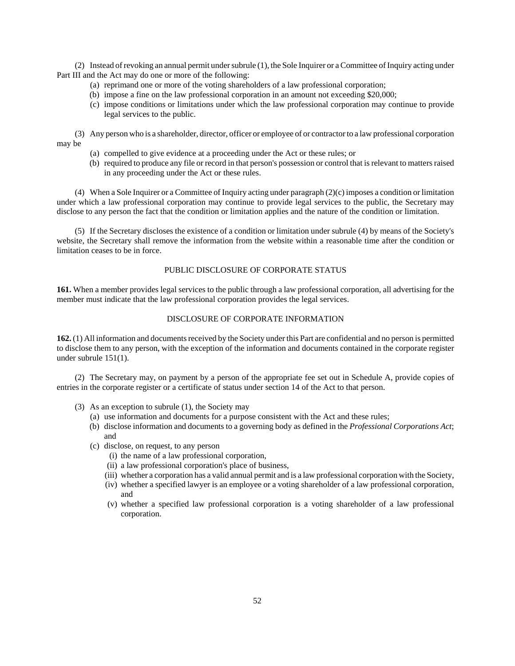(2) Instead of revoking an annual permit under subrule (1), the Sole Inquirer or a Committee of Inquiry acting under Part III and the Act may do one or more of the following:

- (a) reprimand one or more of the voting shareholders of a law professional corporation;
- (b) impose a fine on the law professional corporation in an amount not exceeding \$20,000;
- (c) impose conditions or limitations under which the law professional corporation may continue to provide legal services to the public.

(3) Any person who is a shareholder, director, officer or employee of or contractor to a law professional corporation may be

- (a) compelled to give evidence at a proceeding under the Act or these rules; or
- (b) required to produce any file or record in that person's possession or control that is relevant to matters raised in any proceeding under the Act or these rules.

(4) When a Sole Inquirer or a Committee of Inquiry acting under paragraph (2)(c) imposes a condition or limitation under which a law professional corporation may continue to provide legal services to the public, the Secretary may disclose to any person the fact that the condition or limitation applies and the nature of the condition or limitation.

(5) If the Secretary discloses the existence of a condition or limitation under subrule (4) by means of the Society's website, the Secretary shall remove the information from the website within a reasonable time after the condition or limitation ceases to be in force.

## PUBLIC DISCLOSURE OF CORPORATE STATUS

**161.** When a member provides legal services to the public through a law professional corporation, all advertising for the member must indicate that the law professional corporation provides the legal services.

## DISCLOSURE OF CORPORATE INFORMATION

**162.** (1) All information and documents received by the Society under this Part are confidential and no person is permitted to disclose them to any person, with the exception of the information and documents contained in the corporate register under subrule 151(1).

(2) The Secretary may, on payment by a person of the appropriate fee set out in Schedule A, provide copies of entries in the corporate register or a certificate of status under section 14 of the Act to that person.

- (3) As an exception to subrule (1), the Society may
	- (a) use information and documents for a purpose consistent with the Act and these rules;
	- (b) disclose information and documents to a governing body as defined in the *Professional Corporations Act*; and
	- (c) disclose, on request, to any person
		- (i) the name of a law professional corporation,
		- (ii) a law professional corporation's place of business,
		- (iii) whether a corporation has a valid annual permit and is a law professional corporation with the Society,
		- (iv) whether a specified lawyer is an employee or a voting shareholder of a law professional corporation, and
		- (v) whether a specified law professional corporation is a voting shareholder of a law professional corporation.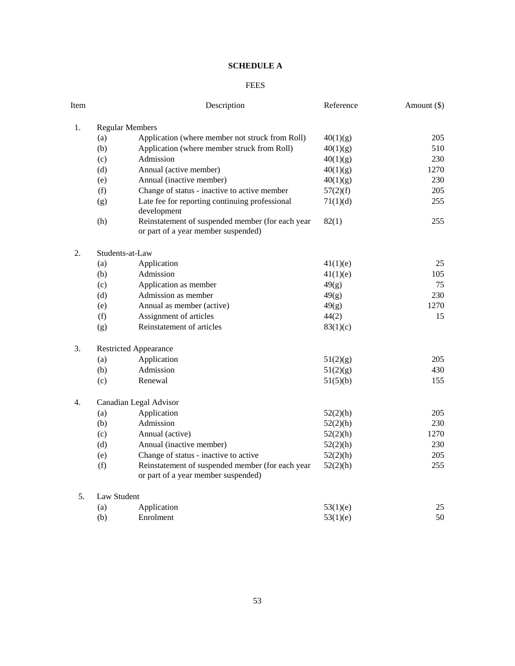# **SCHEDULE A**

## FEES

| Item |                        | Description                                                                             | Reference | Amount (\$) |  |  |  |  |  |
|------|------------------------|-----------------------------------------------------------------------------------------|-----------|-------------|--|--|--|--|--|
| 1.   | <b>Regular Members</b> |                                                                                         |           |             |  |  |  |  |  |
|      | (a)                    | Application (where member not struck from Roll)                                         | 40(1)(g)  | 205         |  |  |  |  |  |
|      | (b)                    | Application (where member struck from Roll)                                             | 40(1)(g)  | 510         |  |  |  |  |  |
|      | (c)                    | Admission                                                                               | 40(1)(g)  | 230         |  |  |  |  |  |
|      | (d)                    | Annual (active member)                                                                  | 40(1)(g)  | 1270        |  |  |  |  |  |
|      | (e)                    | Annual (inactive member)                                                                | 40(1)(g)  | 230         |  |  |  |  |  |
|      | (f)                    | Change of status - inactive to active member                                            | 57(2)(f)  | 205         |  |  |  |  |  |
|      | (g)                    | Late fee for reporting continuing professional<br>development                           | 71(1)(d)  | 255         |  |  |  |  |  |
|      | (h)                    | Reinstatement of suspended member (for each year<br>or part of a year member suspended) | 82(1)     | 255         |  |  |  |  |  |
| 2.   |                        | Students-at-Law                                                                         |           |             |  |  |  |  |  |
|      | (a)                    | Application                                                                             | 41(1)(e)  | 25          |  |  |  |  |  |
|      | (b)                    | Admission                                                                               | 41(1)(e)  | 105         |  |  |  |  |  |
|      | (c)                    | Application as member                                                                   | 49(g)     | 75          |  |  |  |  |  |
|      | (d)                    | Admission as member                                                                     | 49(g)     | 230         |  |  |  |  |  |
|      | (e)                    | Annual as member (active)                                                               | 49(g)     | 1270        |  |  |  |  |  |
|      | (f)                    | Assignment of articles                                                                  | 44(2)     | 15          |  |  |  |  |  |
|      | (g)                    | Reinstatement of articles                                                               | 83(1)(c)  |             |  |  |  |  |  |
| 3.   |                        | <b>Restricted Appearance</b>                                                            |           |             |  |  |  |  |  |
|      | (a)                    | Application                                                                             | 51(2)(g)  | 205         |  |  |  |  |  |
|      | (b)                    | Admission                                                                               | 51(2)(g)  | 430         |  |  |  |  |  |
|      | (c)                    | Renewal                                                                                 | 51(5)(b)  | 155         |  |  |  |  |  |
| 4.   |                        | Canadian Legal Advisor                                                                  |           |             |  |  |  |  |  |
|      | (a)                    | Application                                                                             | 52(2)(h)  | 205         |  |  |  |  |  |
|      | (b)                    | Admission                                                                               | 52(2)(h)  | 230         |  |  |  |  |  |
|      | (c)                    | Annual (active)                                                                         | 52(2)(h)  | 1270        |  |  |  |  |  |
|      | (d)                    | Annual (inactive member)                                                                | 52(2)(h)  | 230         |  |  |  |  |  |
|      | (e)                    | Change of status - inactive to active                                                   | 52(2)(h)  | 205         |  |  |  |  |  |
|      | (f)                    | Reinstatement of suspended member (for each year<br>or part of a year member suspended) | 52(2)(h)  | 255         |  |  |  |  |  |
| 5.   |                        | <b>Law Student</b>                                                                      |           |             |  |  |  |  |  |
|      | (a)                    | Application                                                                             | 53(1)(e)  | 25          |  |  |  |  |  |
|      | (b)                    | Enrolment                                                                               | 53(1)(e)  | 50          |  |  |  |  |  |